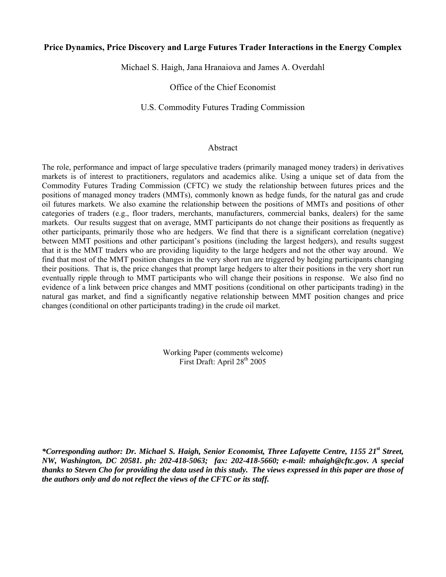## **Price Dynamics, Price Discovery and Large Futures Trader Interactions in the Energy Complex**

Michael S. Haigh, Jana Hranaiova and James A. Overdahl

Office of the Chief Economist

## U.S. Commodity Futures Trading Commission

## Abstract

The role, performance and impact of large speculative traders (primarily managed money traders) in derivatives markets is of interest to practitioners, regulators and academics alike. Using a unique set of data from the Commodity Futures Trading Commission (CFTC) we study the relationship between futures prices and the positions of managed money traders (MMTs), commonly known as hedge funds, for the natural gas and crude oil futures markets. We also examine the relationship between the positions of MMTs and positions of other categories of traders (e.g., floor traders, merchants, manufacturers, commercial banks, dealers) for the same markets. Our results suggest that on average, MMT participants do not change their positions as frequently as other participants, primarily those who are hedgers. We find that there is a significant correlation (negative) between MMT positions and other participant's positions (including the largest hedgers), and results suggest that it is the MMT traders who are providing liquidity to the large hedgers and not the other way around. We find that most of the MMT position changes in the very short run are triggered by hedging participants changing their positions. That is, the price changes that prompt large hedgers to alter their positions in the very short run eventually ripple through to MMT participants who will change their positions in response. We also find no evidence of a link between price changes and MMT positions (conditional on other participants trading) in the natural gas market, and find a significantly negative relationship between MMT position changes and price changes (conditional on other participants trading) in the crude oil market.

> Working Paper (comments welcome) First Draft: April 28th 2005

*\*Corresponding author: Dr. Michael S. Haigh, Senior Economist, Three Lafayette Centre, 1155 21st Street, NW, Washington, DC 20581. ph: 202-418-5063; fax: 202-418-5660; e-mail: mhaigh@cftc.gov. A special thanks to Steven Cho for providing the data used in this study. The views expressed in this paper are those of the authors only and do not reflect the views of the CFTC or its staff.*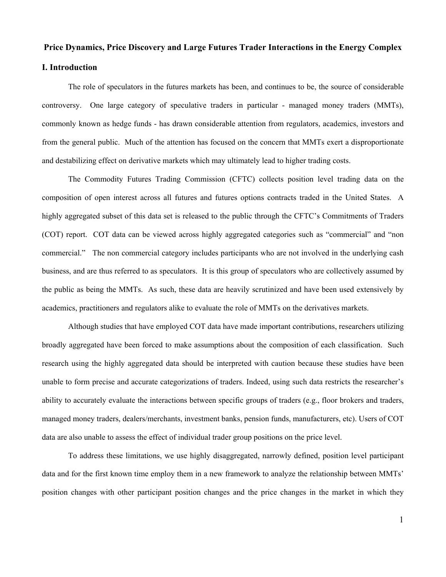# **Price Dynamics, Price Discovery and Large Futures Trader Interactions in the Energy Complex I. Introduction**

 The role of speculators in the futures markets has been, and continues to be, the source of considerable controversy. One large category of speculative traders in particular - managed money traders (MMTs), commonly known as hedge funds - has drawn considerable attention from regulators, academics, investors and from the general public. Much of the attention has focused on the concern that MMTs exert a disproportionate and destabilizing effect on derivative markets which may ultimately lead to higher trading costs.

 The Commodity Futures Trading Commission (CFTC) collects position level trading data on the composition of open interest across all futures and futures options contracts traded in the United States. A highly aggregated subset of this data set is released to the public through the CFTC's Commitments of Traders (COT) report. COT data can be viewed across highly aggregated categories such as "commercial" and "non commercial." The non commercial category includes participants who are not involved in the underlying cash business, and are thus referred to as speculators. It is this group of speculators who are collectively assumed by the public as being the MMTs. As such, these data are heavily scrutinized and have been used extensively by academics, practitioners and regulators alike to evaluate the role of MMTs on the derivatives markets.

 Although studies that have employed COT data have made important contributions, researchers utilizing broadly aggregated have been forced to make assumptions about the composition of each classification. Such research using the highly aggregated data should be interpreted with caution because these studies have been unable to form precise and accurate categorizations of traders. Indeed, using such data restricts the researcher's ability to accurately evaluate the interactions between specific groups of traders (e.g., floor brokers and traders, managed money traders, dealers/merchants, investment banks, pension funds, manufacturers, etc). Users of COT data are also unable to assess the effect of individual trader group positions on the price level.

To address these limitations, we use highly disaggregated, narrowly defined, position level participant data and for the first known time employ them in a new framework to analyze the relationship between MMTs' position changes with other participant position changes and the price changes in the market in which they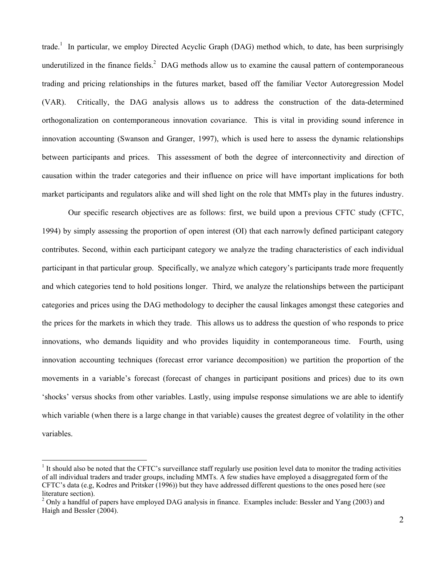trade.<sup>1</sup> In particular, we employ Directed Acyclic Graph (DAG) method which, to date, has been surprisingly underutilized in the finance fields. $2$  DAG methods allow us to examine the causal pattern of contemporaneous trading and pricing relationships in the futures market, based off the familiar Vector Autoregression Model (VAR). Critically, the DAG analysis allows us to address the construction of the data-determined orthogonalization on contemporaneous innovation covariance. This is vital in providing sound inference in innovation accounting (Swanson and Granger, 1997), which is used here to assess the dynamic relationships between participants and prices. This assessment of both the degree of interconnectivity and direction of causation within the trader categories and their influence on price will have important implications for both market participants and regulators alike and will shed light on the role that MMTs play in the futures industry.

 Our specific research objectives are as follows: first, we build upon a previous CFTC study (CFTC, 1994) by simply assessing the proportion of open interest (OI) that each narrowly defined participant category contributes. Second, within each participant category we analyze the trading characteristics of each individual participant in that particular group. Specifically, we analyze which category's participants trade more frequently and which categories tend to hold positions longer. Third, we analyze the relationships between the participant categories and prices using the DAG methodology to decipher the causal linkages amongst these categories and the prices for the markets in which they trade. This allows us to address the question of who responds to price innovations, who demands liquidity and who provides liquidity in contemporaneous time. Fourth, using innovation accounting techniques (forecast error variance decomposition) we partition the proportion of the movements in a variable's forecast (forecast of changes in participant positions and prices) due to its own 'shocks' versus shocks from other variables. Lastly, using impulse response simulations we are able to identify which variable (when there is a large change in that variable) causes the greatest degree of volatility in the other variables.

 $\overline{a}$ 

 $1$  It should also be noted that the CFTC's surveillance staff regularly use position level data to monitor the trading activities of all individual traders and trader groups, including MMTs. A few studies have employed a disaggregated form of the CFTC's data (e.g, Kodres and Pritsker (1996)) but they have addressed different questions to the ones posed here (see literature section).

 $2$  Only a handful of papers have employed DAG analysis in finance. Examples include: Bessler and Yang (2003) and Haigh and Bessler (2004).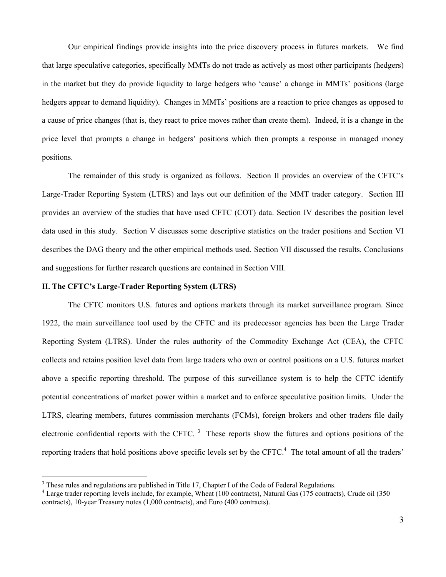Our empirical findings provide insights into the price discovery process in futures markets. We find that large speculative categories, specifically MMTs do not trade as actively as most other participants (hedgers) in the market but they do provide liquidity to large hedgers who 'cause' a change in MMTs' positions (large hedgers appear to demand liquidity). Changes in MMTs' positions are a reaction to price changes as opposed to a cause of price changes (that is, they react to price moves rather than create them). Indeed, it is a change in the price level that prompts a change in hedgers' positions which then prompts a response in managed money positions.

The remainder of this study is organized as follows. Section II provides an overview of the CFTC's Large-Trader Reporting System (LTRS) and lays out our definition of the MMT trader category. Section III provides an overview of the studies that have used CFTC (COT) data. Section IV describes the position level data used in this study. Section V discusses some descriptive statistics on the trader positions and Section VI describes the DAG theory and the other empirical methods used. Section VII discussed the results. Conclusions and suggestions for further research questions are contained in Section VIII.

#### **II. The CFTC's Large-Trader Reporting System (LTRS)**

 $\overline{a}$ 

The CFTC monitors U.S. futures and options markets through its market surveillance program. Since 1922, the main surveillance tool used by the CFTC and its predecessor agencies has been the Large Trader Reporting System (LTRS). Under the rules authority of the Commodity Exchange Act (CEA), the CFTC collects and retains position level data from large traders who own or control positions on a U.S. futures market above a specific reporting threshold. The purpose of this surveillance system is to help the CFTC identify potential concentrations of market power within a market and to enforce speculative position limits. Under the LTRS, clearing members, futures commission merchants (FCMs), foreign brokers and other traders file daily electronic confidential reports with the CFTC.  $3$  These reports show the futures and options positions of the reporting traders that hold positions above specific levels set by the CFTC.<sup>4</sup> The total amount of all the traders'

 $3$  These rules and regulations are published in Title 17, Chapter I of the Code of Federal Regulations.<br> $4$  Lerge treder reporting lavels include for example. Wheat (100 contracts), Natural Ges (175 contracts)

<sup>&</sup>lt;sup>4</sup> Large trader reporting levels include, for example, Wheat (100 contracts), Natural Gas (175 contracts), Crude oil (350 contracts), 10-year Treasury notes (1,000 contracts), and Euro (400 contracts).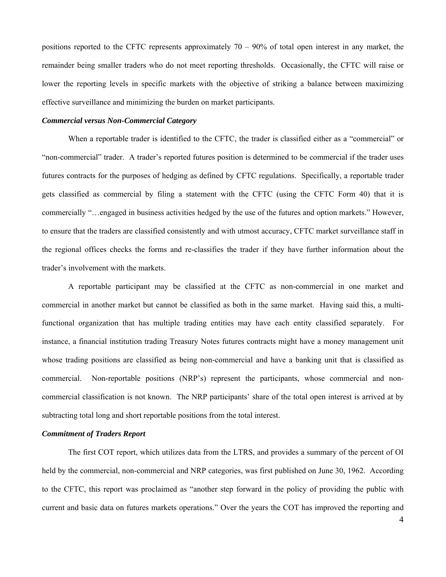positions reported to the CFTC represents approximately  $70 - 90\%$  of total open interest in any market, the remainder being smaller traders who do not meet reporting thresholds. Occasionally, the CFTC will raise or lower the reporting levels in specific markets with the objective of striking a balance between maximizing effective surveillance and minimizing the burden on market participants.

#### *Commercial versus Non-Commercial Category*

When a reportable trader is identified to the CFTC, the trader is classified either as a "commercial" or "non-commercial" trader. A trader's reported futures position is determined to be commercial if the trader uses futures contracts for the purposes of hedging as defined by CFTC regulations. Specifically, a reportable trader gets classified as commercial by filing a statement with the CFTC (using the CFTC Form 40) that it is commercially "…engaged in business activities hedged by the use of the futures and option markets." However, to ensure that the traders are classified consistently and with utmost accuracy, CFTC market surveillance staff in the regional offices checks the forms and re-classifies the trader if they have further information about the trader's involvement with the markets.

A reportable participant may be classified at the CFTC as non-commercial in one market and commercial in another market but cannot be classified as both in the same market. Having said this, a multifunctional organization that has multiple trading entities may have each entity classified separately. For instance, a financial institution trading Treasury Notes futures contracts might have a money management unit whose trading positions are classified as being non-commercial and have a banking unit that is classified as commercial. Non-reportable positions (NRP's) represent the participants, whose commercial and noncommercial classification is not known. The NRP participants' share of the total open interest is arrived at by subtracting total long and short reportable positions from the total interest.

## *Commitment of Traders Report*

The first COT report, which utilizes data from the LTRS, and provides a summary of the percent of OI held by the commercial, non-commercial and NRP categories, was first published on June 30, 1962. According to the CFTC, this report was proclaimed as "another step forward in the policy of providing the public with current and basic data on futures markets operations." Over the years the COT has improved the reporting and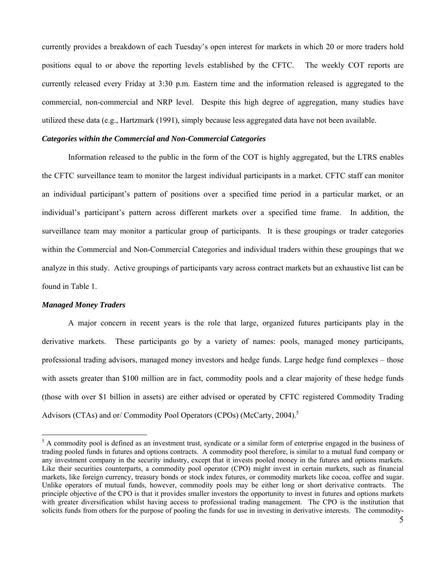currently provides a breakdown of each Tuesday's open interest for markets in which 20 or more traders hold positions equal to or above the reporting levels established by the CFTC. The weekly COT reports are currently released every Friday at 3:30 p.m. Eastern time and the information released is aggregated to the commercial, non-commercial and NRP level. Despite this high degree of aggregation, many studies have utilized these data (e.g., Hartzmark (1991), simply because less aggregated data have not been available.

#### *Categories within the Commercial and Non-Commercial Categories*

Information released to the public in the form of the COT is highly aggregated, but the LTRS enables the CFTC surveillance team to monitor the largest individual participants in a market. CFTC staff can monitor an individual participant's pattern of positions over a specified time period in a particular market, or an individual's participant's pattern across different markets over a specified time frame. In addition, the surveillance team may monitor a particular group of participants. It is these groupings or trader categories within the Commercial and Non-Commercial Categories and individual traders within these groupings that we analyze in this study. Active groupings of participants vary across contract markets but an exhaustive list can be found in Table 1.

#### *Managed Money Traders*

 $\overline{a}$ 

A major concern in recent years is the role that large, organized futures participants play in the derivative markets. These participants go by a variety of names: pools, managed money participants, professional trading advisors, managed money investors and hedge funds. Large hedge fund complexes – those with assets greater than \$100 million are in fact, commodity pools and a clear majority of these hedge funds (those with over \$1 billion in assets) are either advised or operated by CFTC registered Commodity Trading Advisors (CTAs) and or/ Commodity Pool Operators (CPOs) (McCarty, 2004).<sup>5</sup>

 $<sup>5</sup>$  A commodity pool is defined as an investment trust, syndicate or a similar form of enterprise engaged in the business of</sup> trading pooled funds in futures and options contracts. A commodity pool therefore, is similar to a mutual fund company or any investment company in the security industry, except that it invests pooled money in the futures and options markets. Like their securities counterparts, a commodity pool operator (CPO) might invest in certain markets, such as financial markets, like foreign currency, treasury bonds or stock index futures, or commodity markets like cocoa, coffee and sugar. Unlike operators of mutual funds, however, commodity pools may be either long or short derivative contracts. The principle objective of the CPO is that it provides smaller investors the opportunity to invest in futures and options markets with greater diversification whilst having access to professional trading management. The CPO is the institution that solicits funds from others for the purpose of pooling the funds for use in investing in derivative interests. The commodity-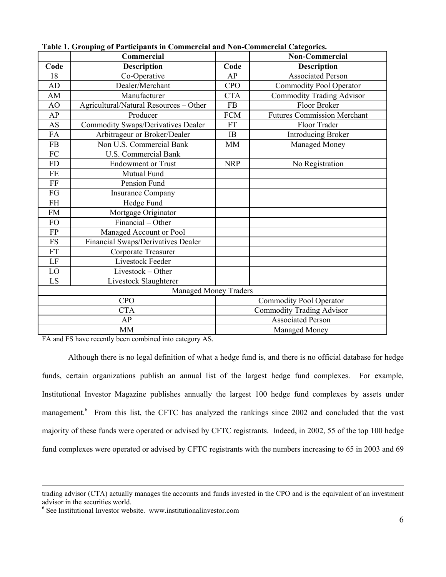|            | Commercial                                |                          | <b>Non-Commercial</b>              |  |  |
|------------|-------------------------------------------|--------------------------|------------------------------------|--|--|
| Code       | <b>Description</b>                        | Code                     | <b>Description</b>                 |  |  |
| 18         | Co-Operative                              | AP                       | <b>Associated Person</b>           |  |  |
| AD         | Dealer/Merchant                           | <b>CPO</b>               | <b>Commodity Pool Operator</b>     |  |  |
| AM         | Manufacturer                              | <b>CTA</b>               | <b>Commodity Trading Advisor</b>   |  |  |
| AO         | Agricultural/Natural Resources - Other    | <b>FB</b>                | Floor Broker                       |  |  |
| AP         | Producer                                  | <b>FCM</b>               | <b>Futures Commission Merchant</b> |  |  |
| AS         | <b>Commodity Swaps/Derivatives Dealer</b> | <b>FT</b>                | Floor Trader                       |  |  |
| FA         | Arbitrageur or Broker/Dealer              | IB                       | <b>Introducing Broker</b>          |  |  |
| <b>FB</b>  | Non U.S. Commercial Bank                  | <b>MM</b>                | Managed Money                      |  |  |
| ${\rm FC}$ | <b>U.S. Commercial Bank</b>               |                          |                                    |  |  |
| FD         | <b>Endowment or Trust</b>                 | <b>NRP</b>               | No Registration                    |  |  |
| $\rm FE$   | Mutual Fund                               |                          |                                    |  |  |
| $\rm FF$   | Pension Fund                              |                          |                                    |  |  |
| ${\rm FG}$ | <b>Insurance Company</b>                  |                          |                                    |  |  |
| $\rm FH$   | Hedge Fund                                |                          |                                    |  |  |
| FM         | Mortgage Originator                       |                          |                                    |  |  |
| FO         | Financial – Other                         |                          |                                    |  |  |
| ${\rm FP}$ | Managed Account or Pool                   |                          |                                    |  |  |
| ${\rm FS}$ | Financial Swaps/Derivatives Dealer        |                          |                                    |  |  |
| ${\rm FT}$ | Corporate Treasurer                       |                          |                                    |  |  |
| $\rm LF$   | Livestock Feeder                          |                          |                                    |  |  |
| LO         | Livestock - Other                         |                          |                                    |  |  |
| LS         | Livestock Slaughterer                     |                          |                                    |  |  |
|            | <b>Managed Money Traders</b>              |                          |                                    |  |  |
|            | <b>CPO</b>                                |                          | <b>Commodity Pool Operator</b>     |  |  |
|            | <b>CTA</b>                                |                          | <b>Commodity Trading Advisor</b>   |  |  |
|            | AP                                        | <b>Associated Person</b> |                                    |  |  |
|            | <b>MM</b>                                 |                          | Managed Money                      |  |  |

**Table 1. Grouping of Participants in Commercial and Non-Commercial Categories.** 

FA and FS have recently been combined into category AS.

 Although there is no legal definition of what a hedge fund is, and there is no official database for hedge funds, certain organizations publish an annual list of the largest hedge fund complexes. For example, Institutional Investor Magazine publishes annually the largest 100 hedge fund complexes by assets under management.<sup>6</sup> From this list, the CFTC has analyzed the rankings since 2002 and concluded that the vast majority of these funds were operated or advised by CFTC registrants. Indeed, in 2002, 55 of the top 100 hedge fund complexes were operated or advised by CFTC registrants with the numbers increasing to 65 in 2003 and 69

trading advisor (CTA) actually manages the accounts and funds invested in the CPO and is the equivalent of an investment advisor in the securities world.

<sup>6</sup> See Institutional Investor website. www.institutionalinvestor.com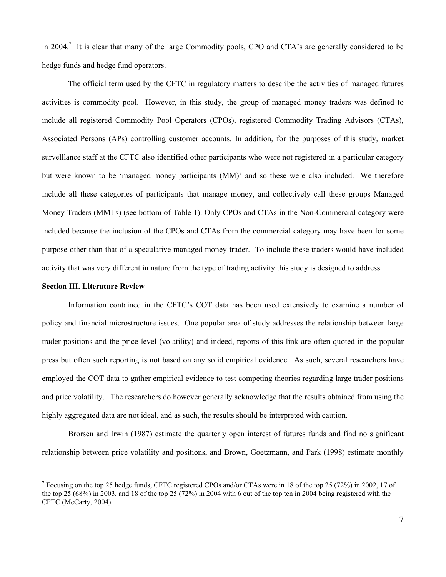in 2004.<sup>7</sup> It is clear that many of the large Commodity pools, CPO and CTA's are generally considered to be hedge funds and hedge fund operators.

The official term used by the CFTC in regulatory matters to describe the activities of managed futures activities is commodity pool. However, in this study, the group of managed money traders was defined to include all registered Commodity Pool Operators (CPOs), registered Commodity Trading Advisors (CTAs), Associated Persons (APs) controlling customer accounts. In addition, for the purposes of this study, market survelllance staff at the CFTC also identified other participants who were not registered in a particular category but were known to be 'managed money participants (MM)' and so these were also included. We therefore include all these categories of participants that manage money, and collectively call these groups Managed Money Traders (MMTs) (see bottom of Table 1). Only CPOs and CTAs in the Non-Commercial category were included because the inclusion of the CPOs and CTAs from the commercial category may have been for some purpose other than that of a speculative managed money trader. To include these traders would have included activity that was very different in nature from the type of trading activity this study is designed to address.

## **Section III. Literature Review**

 $\overline{a}$ 

 Information contained in the CFTC's COT data has been used extensively to examine a number of policy and financial microstructure issues. One popular area of study addresses the relationship between large trader positions and the price level (volatility) and indeed, reports of this link are often quoted in the popular press but often such reporting is not based on any solid empirical evidence. As such, several researchers have employed the COT data to gather empirical evidence to test competing theories regarding large trader positions and price volatility. The researchers do however generally acknowledge that the results obtained from using the highly aggregated data are not ideal, and as such, the results should be interpreted with caution.

 Brorsen and Irwin (1987) estimate the quarterly open interest of futures funds and find no significant relationship between price volatility and positions, and Brown, Goetzmann, and Park (1998) estimate monthly

<sup>&</sup>lt;sup>7</sup> Focusing on the top 25 hedge funds, CFTC registered CPOs and/or CTAs were in 18 of the top 25 (72%) in 2002, 17 of the top 25 (68%) in 2003, and 18 of the top 25 (72%) in 2004 with 6 out of the top ten in 2004 being registered with the CFTC (McCarty, 2004).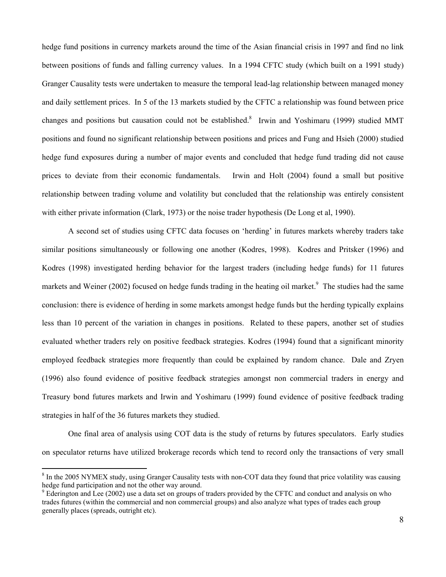hedge fund positions in currency markets around the time of the Asian financial crisis in 1997 and find no link between positions of funds and falling currency values. In a 1994 CFTC study (which built on a 1991 study) Granger Causality tests were undertaken to measure the temporal lead-lag relationship between managed money and daily settlement prices. In 5 of the 13 markets studied by the CFTC a relationship was found between price changes and positions but causation could not be established.<sup>8</sup> Irwin and Yoshimaru (1999) studied MMT positions and found no significant relationship between positions and prices and Fung and Hsieh (2000) studied hedge fund exposures during a number of major events and concluded that hedge fund trading did not cause prices to deviate from their economic fundamentals. Irwin and Holt (2004) found a small but positive relationship between trading volume and volatility but concluded that the relationship was entirely consistent with either private information (Clark, 1973) or the noise trader hypothesis (De Long et al, 1990).

 A second set of studies using CFTC data focuses on 'herding' in futures markets whereby traders take similar positions simultaneously or following one another (Kodres, 1998). Kodres and Pritsker (1996) and Kodres (1998) investigated herding behavior for the largest traders (including hedge funds) for 11 futures markets and Weiner (2002) focused on hedge funds trading in the heating oil market.<sup>9</sup> The studies had the same conclusion: there is evidence of herding in some markets amongst hedge funds but the herding typically explains less than 10 percent of the variation in changes in positions. Related to these papers, another set of studies evaluated whether traders rely on positive feedback strategies. Kodres (1994) found that a significant minority employed feedback strategies more frequently than could be explained by random chance. Dale and Zryen (1996) also found evidence of positive feedback strategies amongst non commercial traders in energy and Treasury bond futures markets and Irwin and Yoshimaru (1999) found evidence of positive feedback trading strategies in half of the 36 futures markets they studied.

 One final area of analysis using COT data is the study of returns by futures speculators. Early studies on speculator returns have utilized brokerage records which tend to record only the transactions of very small

 $\overline{a}$ 

<sup>&</sup>lt;sup>8</sup> In the 2005 NYMEX study, using Granger Causality tests with non-COT data they found that price volatility was causing hedge fund participation and not the other way around.

<sup>&</sup>lt;sup>9</sup> Ederington and Lee (2002) use a data set on groups of traders provided by the CFTC and conduct and analysis on who trades futures (within the commercial and non commercial groups) and also analyze what types of trades each group generally places (spreads, outright etc).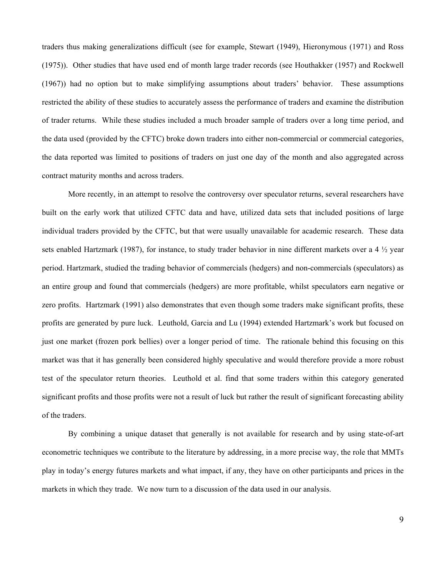traders thus making generalizations difficult (see for example, Stewart (1949), Hieronymous (1971) and Ross (1975)). Other studies that have used end of month large trader records (see Houthakker (1957) and Rockwell (1967)) had no option but to make simplifying assumptions about traders' behavior. These assumptions restricted the ability of these studies to accurately assess the performance of traders and examine the distribution of trader returns. While these studies included a much broader sample of traders over a long time period, and the data used (provided by the CFTC) broke down traders into either non-commercial or commercial categories, the data reported was limited to positions of traders on just one day of the month and also aggregated across contract maturity months and across traders.

 More recently, in an attempt to resolve the controversy over speculator returns, several researchers have built on the early work that utilized CFTC data and have, utilized data sets that included positions of large individual traders provided by the CFTC, but that were usually unavailable for academic research. These data sets enabled Hartzmark (1987), for instance, to study trader behavior in nine different markets over a 4  $\frac{1}{2}$  year period. Hartzmark, studied the trading behavior of commercials (hedgers) and non-commercials (speculators) as an entire group and found that commercials (hedgers) are more profitable, whilst speculators earn negative or zero profits. Hartzmark (1991) also demonstrates that even though some traders make significant profits, these profits are generated by pure luck. Leuthold, Garcia and Lu (1994) extended Hartzmark's work but focused on just one market (frozen pork bellies) over a longer period of time. The rationale behind this focusing on this market was that it has generally been considered highly speculative and would therefore provide a more robust test of the speculator return theories. Leuthold et al. find that some traders within this category generated significant profits and those profits were not a result of luck but rather the result of significant forecasting ability of the traders.

 By combining a unique dataset that generally is not available for research and by using state-of-art econometric techniques we contribute to the literature by addressing, in a more precise way, the role that MMTs play in today's energy futures markets and what impact, if any, they have on other participants and prices in the markets in which they trade. We now turn to a discussion of the data used in our analysis.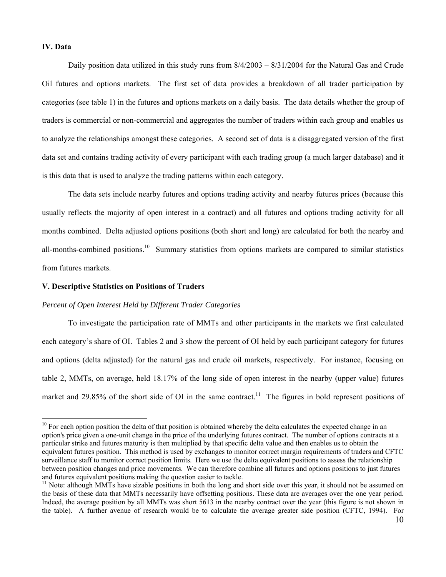#### **IV. Data**

 $\overline{a}$ 

Daily position data utilized in this study runs from  $\frac{8}{4}/2003 - \frac{8}{3}1/2004$  for the Natural Gas and Crude Oil futures and options markets. The first set of data provides a breakdown of all trader participation by categories (see table 1) in the futures and options markets on a daily basis. The data details whether the group of traders is commercial or non-commercial and aggregates the number of traders within each group and enables us to analyze the relationships amongst these categories. A second set of data is a disaggregated version of the first data set and contains trading activity of every participant with each trading group (a much larger database) and it is this data that is used to analyze the trading patterns within each category.

The data sets include nearby futures and options trading activity and nearby futures prices (because this usually reflects the majority of open interest in a contract) and all futures and options trading activity for all months combined. Delta adjusted options positions (both short and long) are calculated for both the nearby and all-months-combined positions.<sup>10</sup> Summary statistics from options markets are compared to similar statistics from futures markets.

#### **V. Descriptive Statistics on Positions of Traders**

## *Percent of Open Interest Held by Different Trader Categories*

 To investigate the participation rate of MMTs and other participants in the markets we first calculated each category's share of OI. Tables 2 and 3 show the percent of OI held by each participant category for futures and options (delta adjusted) for the natural gas and crude oil markets, respectively. For instance, focusing on table 2, MMTs, on average, held 18.17% of the long side of open interest in the nearby (upper value) futures market and 29.85% of the short side of OI in the same contract.<sup>11</sup> The figures in bold represent positions of

 $10$  For each option position the delta of that position is obtained whereby the delta calculates the expected change in an option's price given a one-unit change in the price of the underlying futures contract. The number of options contracts at a particular strike and futures maturity is then multiplied by that specific delta value and then enables us to obtain the equivalent futures position. This method is used by exchanges to monitor correct margin requirements of traders and CFTC surveillance staff to monitor correct position limits. Here we use the delta equivalent positions to assess the relationship between position changes and price movements. We can therefore combine all futures and options positions to just futures and futures equivalent positions making the question easier to tackle.

 $11$  Note: although MMTs have sizable positions in both the long and short side over this year, it should not be assumed on the basis of these data that MMTs necessarily have offsetting positions. These data are averages over the one year period. Indeed, the average position by all MMTs was short 5613 in the nearby contract over the year (this figure is not shown in the table). A further avenue of research would be to calculate the average greater side position (CFTC, 1994). For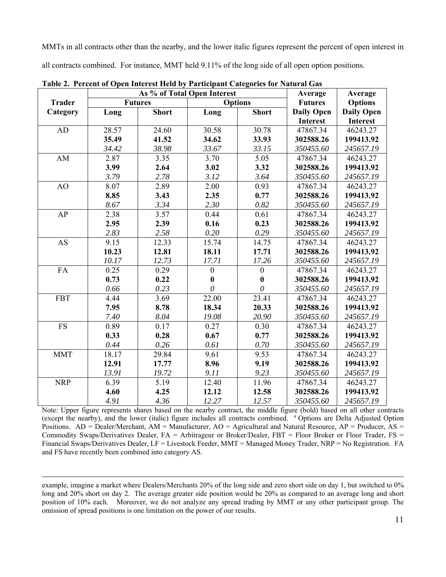MMTs in all contracts other than the nearby, and the lower italic figures represent the percent of open interest in all contracts combined. For instance, MMT held 9.11% of the long side of all open option positions.

|               |       | As % of Total Open Interest | Average          | Average          |                   |                   |
|---------------|-------|-----------------------------|------------------|------------------|-------------------|-------------------|
| <b>Trader</b> |       | <b>Futures</b>              |                  | <b>Options</b>   | <b>Futures</b>    | <b>Options</b>    |
| Category      | Long  | <b>Short</b>                | Long             | <b>Short</b>     | <b>Daily Open</b> | <b>Daily Open</b> |
|               |       |                             |                  |                  | <b>Interest</b>   | <b>Interest</b>   |
| AD            | 28.57 | 24.60                       | 30.58            | 30.78            | 47867.34          | 46243.27          |
|               | 35.49 | 41.52                       | 34.62            | 33.93            | 302588.26         | 199413.92         |
|               | 34.42 | 38.98                       | 33.67            | 33.15            | 350455.60         | 245657.19         |
| AM            | 2.87  | 3.35                        | 3.70             | 5.05             | 47867.34          | 46243.27          |
|               | 3.99  | 2.64                        | 3.02             | 3.32             | 302588.26         | 199413.92         |
|               | 3.79  | 2.78                        | 3.12             | 3.64             | 350455.60         | 245657.19         |
| AO            | 8.07  | 2.89                        | 2.00             | 0.93             | 47867.34          | 46243.27          |
|               | 8.85  | 3.43                        | 2.35             | 0.77             | 302588.26         | 199413.92         |
|               | 8.67  | 3.34                        | 2.30             | 0.82             | 350455.60         | 245657.19         |
| AP            | 2.38  | 3.57                        | 0.44             | 0.61             | 47867.34          | 46243.27          |
|               | 2.95  | 2.39                        | 0.16             | 0.23             | 302588.26         | 199413.92         |
|               | 2.83  | 2.58                        | 0.20             | 0.29             | 350455.60         | 245657.19         |
| <b>AS</b>     | 9.15  | 12.33                       | 15.74            | 14.75            | 47867.34          | 46243.27          |
|               | 10.23 | 12.81                       | 18.11            | 17.71            | 302588.26         | 199413.92         |
|               | 10.17 | 12.73                       | 17.71            | 17.26            | 350455.60         | 245657.19         |
| FA            | 0.25  | 0.29                        | $\boldsymbol{0}$ | $\boldsymbol{0}$ | 47867.34          | 46243.27          |
|               | 0.73  | 0.22                        | $\bf{0}$         | $\boldsymbol{0}$ | 302588.26         | 199413.92         |
|               | 0.66  | 0.23                        | $\theta$         | 0                | 350455.60         | 245657.19         |
| <b>FBT</b>    | 4.44  | 3.69                        | 22.00            | 23.41            | 47867.34          | 46243.27          |
|               | 7.95  | 8.78                        | 18.34            | 20.33            | 302588.26         | 199413.92         |
|               | 7.40  | 8.04                        | 19.08            | 20.90            | 350455.60         | 245657.19         |
| <b>FS</b>     | 0.89  | 0.17                        | 0.27             | 0.30             | 47867.34          | 46243.27          |
|               | 0.33  | 0.28                        | 0.67             | 0.77             | 302588.26         | 199413.92         |
|               | 0.44  | 0.26                        | 0.61             | 0.70             | 350455.60         | 245657.19         |
| <b>MMT</b>    | 18.17 | 29.84                       | 9.61             | 9.53             | 47867.34          | 46243.27          |
|               | 12.91 | 17.77                       | 8.96             | 9.19             | 302588.26         | 199413.92         |
|               | 13.91 | 19.72                       | 9.11             | 9.23             | 350455.60         | 245657.19         |
| <b>NRP</b>    | 6.39  | 5.19                        | 12.40            | 11.96            | 47867.34          | 46243.27          |
|               | 4.60  | 4.25                        | 12.12            | 12.58            | 302588.26         | 199413.92         |
|               | 4.91  | 4.36                        | 12.27            | 12.57            | 350455.60         | 245657.19         |

**Table 2. Percent of Open Interest Held by Participant Categories for Natural Gas** 

Note: Upper figure represents shares based on the nearby contract, the middle figure (bold) based on all other contracts (except the nearby), and the lower (italic) figure includes all contracts combined. a Options are Delta Adjusted Option Positions. AD = Dealer/Merchant, AM = Manufacturer, AO = Agricultural and Natural Resource, AP = Producer, AS = Commodity Swaps/Derivatives Dealer, FA = Arbitrageur or Broker/Dealer, FBT = Floor Broker or Floor Trader, FS = Financial Swaps/Derivatives Dealer, LF = Livestock Feeder, MMT = Managed Money Trader, NRP = No Registration. FA and FS have recently been combined into category AS.

 example, imagine a market where Dealers/Merchants 20% of the long side and zero short side on day 1, but switched to 0% long and 20% short on day 2. The average greater side position would be 20% as compared to an average long and short position of 10% each. Moreover, we do not analyze any spread trading by MMT or any other participant group. The omission of spread positions is one limitation on the power of our results.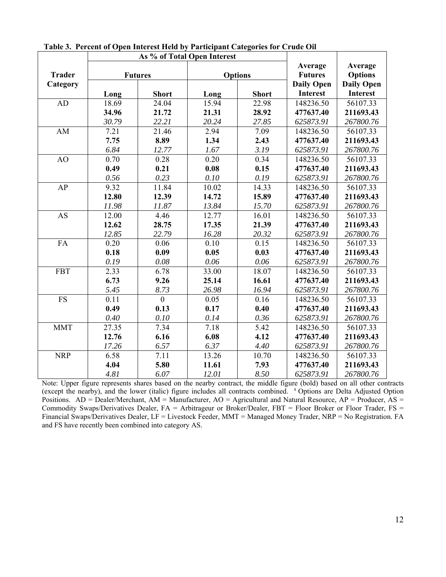|               |          | As % of Total Open Interest |       |                |                   |                   |
|---------------|----------|-----------------------------|-------|----------------|-------------------|-------------------|
|               |          |                             |       |                | Average           | Average           |
| <b>Trader</b> |          | <b>Futures</b>              |       | <b>Options</b> | <b>Futures</b>    | <b>Options</b>    |
| Category      |          |                             |       |                | <b>Daily Open</b> | <b>Daily Open</b> |
|               | Long     | <b>Short</b>                | Long  | <b>Short</b>   | <b>Interest</b>   | <b>Interest</b>   |
| <b>AD</b>     | 18.69    | 24.04                       | 15.94 | 22.98          | 148236.50         | 56107.33          |
|               | 34.96    | 21.72                       | 21.31 | 28.92          | 477637.40         | 211693.43         |
|               | 30.79    | 22.21                       | 20.24 | 27.85          | 625873.91         | 267800.76         |
| AM            | 7.21     | 21.46                       | 2.94  | 7.09           | 148236.50         | 56107.33          |
|               | 7.75     | 8.89                        | 1.34  | 2.43           | 477637.40         | 211693.43         |
|               | 6.84     | 12.77                       | 1.67  | 3.19           | 625873.91         | 267800.76         |
| AO            | 0.70     | 0.28                        | 0.20  | 0.34           | 148236.50         | 56107.33          |
|               | 0.49     | 0.21                        | 0.08  | 0.15           | 477637.40         | 211693.43         |
|               | 0.56     | 0.23                        | 0.10  | 0.19           | 625873.91         | 267800.76         |
| AP            | 9.32     | 11.84                       | 10.02 | 14.33          | 148236.50         | 56107.33          |
|               | 12.80    | 12.39                       | 14.72 | 15.89          | 477637.40         | 211693.43         |
|               | 11.98    | 11.87                       | 13.84 | 15.70          | 625873.91         | 267800.76         |
| <b>AS</b>     | 12.00    | 4.46                        | 12.77 | 16.01          | 148236.50         | 56107.33          |
|               | 12.62    | 28.75                       | 17.35 | 21.39          | 477637.40         | 211693.43         |
|               | 12.85    | 22.79                       | 16.28 | 20.32          | 625873.91         | 267800.76         |
| FA            | 0.20     | 0.06                        | 0.10  | 0.15           | 148236.50         | 56107.33          |
|               | 0.18     | 0.09                        | 0.05  | 0.03           | 477637.40         | 211693.43         |
|               | 0.19     | 0.08                        | 0.06  | 0.06           | 625873.91         | 267800.76         |
| <b>FBT</b>    | 2.33     | 6.78                        | 33.00 | 18.07          | 148236.50         | 56107.33          |
|               | 6.73     | 9.26                        | 25.14 | 16.61          | 477637.40         | 211693.43         |
|               | 5.45     | 8.73                        | 26.98 | 16.94          | 625873.91         | 267800.76         |
| FS            | 0.11     | $\theta$                    | 0.05  | 0.16           | 148236.50         | 56107.33          |
|               | 0.49     | 0.13                        | 0.17  | 0.40           | 477637.40         | 211693.43         |
|               | $0.40\,$ | 0.10                        | 0.14  | 0.36           | 625873.91         | 267800.76         |
| <b>MMT</b>    | 27.35    | 7.34                        | 7.18  | 5.42           | 148236.50         | 56107.33          |
|               | 12.76    | 6.16                        | 6.08  | 4.12           | 477637.40         | 211693.43         |
|               | 17.26    | 6.57                        | 6.37  | 4.40           | 625873.91         | 267800.76         |
| <b>NRP</b>    | 6.58     | 7.11                        | 13.26 | 10.70          | 148236.50         | 56107.33          |
|               | 4.04     | 5.80                        | 11.61 | 7.93           | 477637.40         | 211693.43         |
|               | 4.81     | 6.07                        | 12.01 | 8.50           | 625873.91         | 267800.76         |

**Table 3. Percent of Open Interest Held by Participant Categories for Crude Oil**

Note: Upper figure represents shares based on the nearby contract, the middle figure (bold) based on all other contracts (except the nearby), and the lower (italic) figure includes all contracts combined. <sup>a</sup> Options are Delta Adjusted Option Positions. AD = Dealer/Merchant, AM = Manufacturer, AO = Agricultural and Natural Resource, AP = Producer, AS = Commodity Swaps/Derivatives Dealer, FA = Arbitrageur or Broker/Dealer, FBT = Floor Broker or Floor Trader, FS = Financial Swaps/Derivatives Dealer, LF = Livestock Feeder, MMT = Managed Money Trader, NRP = No Registration. FA and FS have recently been combined into category AS.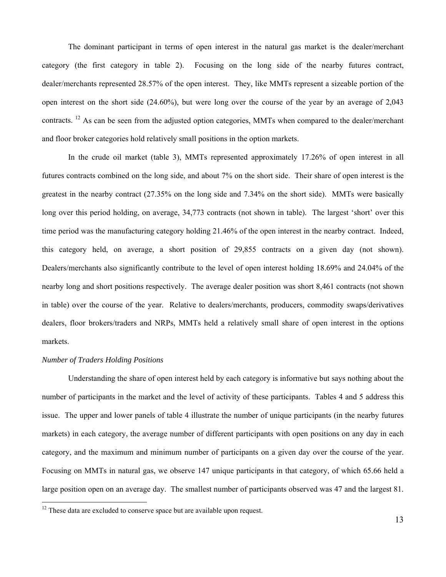The dominant participant in terms of open interest in the natural gas market is the dealer/merchant category (the first category in table 2). Focusing on the long side of the nearby futures contract, dealer/merchants represented 28.57% of the open interest. They, like MMTs represent a sizeable portion of the open interest on the short side (24.60%), but were long over the course of the year by an average of 2,043 contracts. <sup>12</sup> As can be seen from the adjusted option categories, MMTs when compared to the dealer/merchant and floor broker categories hold relatively small positions in the option markets.

 In the crude oil market (table 3), MMTs represented approximately 17.26% of open interest in all futures contracts combined on the long side, and about 7% on the short side. Their share of open interest is the greatest in the nearby contract (27.35% on the long side and 7.34% on the short side). MMTs were basically long over this period holding, on average, 34,773 contracts (not shown in table). The largest 'short' over this time period was the manufacturing category holding 21.46% of the open interest in the nearby contract. Indeed, this category held, on average, a short position of 29,855 contracts on a given day (not shown). Dealers/merchants also significantly contribute to the level of open interest holding 18.69% and 24.04% of the nearby long and short positions respectively. The average dealer position was short 8,461 contracts (not shown in table) over the course of the year. Relative to dealers/merchants, producers, commodity swaps/derivatives dealers, floor brokers/traders and NRPs, MMTs held a relatively small share of open interest in the options markets.

## *Number of Traders Holding Positions*

 $\overline{a}$ 

 Understanding the share of open interest held by each category is informative but says nothing about the number of participants in the market and the level of activity of these participants. Tables 4 and 5 address this issue. The upper and lower panels of table 4 illustrate the number of unique participants (in the nearby futures markets) in each category, the average number of different participants with open positions on any day in each category, and the maximum and minimum number of participants on a given day over the course of the year. Focusing on MMTs in natural gas, we observe 147 unique participants in that category, of which 65.66 held a large position open on an average day. The smallest number of participants observed was 47 and the largest 81.

 $12$  These data are excluded to conserve space but are available upon request.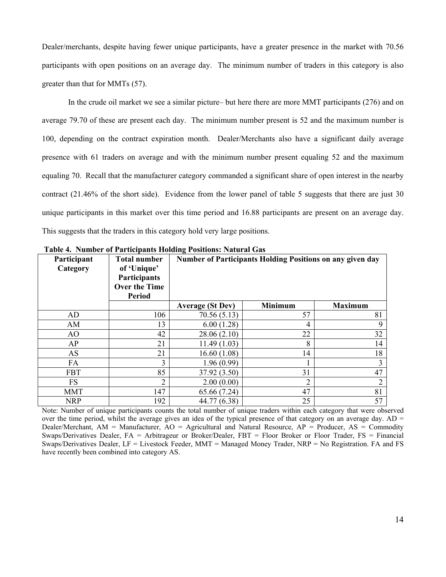Dealer/merchants, despite having fewer unique participants, have a greater presence in the market with 70.56 participants with open positions on an average day. The minimum number of traders in this category is also greater than that for MMTs (57).

 In the crude oil market we see a similar picture– but here there are more MMT participants (276) and on average 79.70 of these are present each day. The minimum number present is 52 and the maximum number is 100, depending on the contract expiration month. Dealer/Merchants also have a significant daily average presence with 61 traders on average and with the minimum number present equaling 52 and the maximum equaling 70. Recall that the manufacturer category commanded a significant share of open interest in the nearby contract (21.46% of the short side). Evidence from the lower panel of table 5 suggests that there are just 30 unique participants in this market over this time period and 16.88 participants are present on an average day. This suggests that the traders in this category hold very large positions.

| Participant<br>Category | <b>Total number</b><br>of 'Unique'<br>Participants<br><b>Over the Time</b><br><b>Period</b> | <b>Number of Participants Holding Positions on any given day</b> |                |                |  |  |  |  |
|-------------------------|---------------------------------------------------------------------------------------------|------------------------------------------------------------------|----------------|----------------|--|--|--|--|
|                         |                                                                                             | <b>Average (St Dev)</b>                                          | <b>Minimum</b> | <b>Maximum</b> |  |  |  |  |
| AD                      | 106                                                                                         | 70.56 (5.13)                                                     | 57             | 81             |  |  |  |  |
| AM                      | 13                                                                                          | 6.00(1.28)                                                       | 4              | 9              |  |  |  |  |
| AO                      | 42                                                                                          | 28.06(2.10)                                                      | 22             | 32             |  |  |  |  |
| AP                      | 21                                                                                          | 11.49(1.03)                                                      | 8              | 14             |  |  |  |  |
| AS                      | 21                                                                                          | 16.60(1.08)                                                      | 14             | 18             |  |  |  |  |
| FA                      | 3                                                                                           | 1.96(0.99)                                                       |                | 3              |  |  |  |  |
| <b>FBT</b>              | 85                                                                                          | 37.92 (3.50)                                                     | 31             | 47             |  |  |  |  |
| <b>FS</b>               | $\overline{2}$                                                                              | 2.00(0.00)                                                       | າ              | $\overline{2}$ |  |  |  |  |
| <b>MMT</b>              | 147                                                                                         | 65.66 (7.24)                                                     | 47             | 81             |  |  |  |  |
| <b>NRP</b>              | 192                                                                                         | 44.77 (6.38)                                                     | 25             | 57             |  |  |  |  |

 **Table 4. Number of Participants Holding Positions: Natural Gas** 

Note: Number of unique participants counts the total number of unique traders within each category that were observed over the time period, whilst the average gives an idea of the typical presence of that category on an average day.  $AD =$ Dealer/Merchant, AM = Manufacturer, AO = Agricultural and Natural Resource, AP = Producer, AS = Commodity Swaps/Derivatives Dealer, FA = Arbitrageur or Broker/Dealer, FBT = Floor Broker or Floor Trader, FS = Financial Swaps/Derivatives Dealer, LF = Livestock Feeder, MMT = Managed Money Trader, NRP = No Registration. FA and FS have recently been combined into category AS.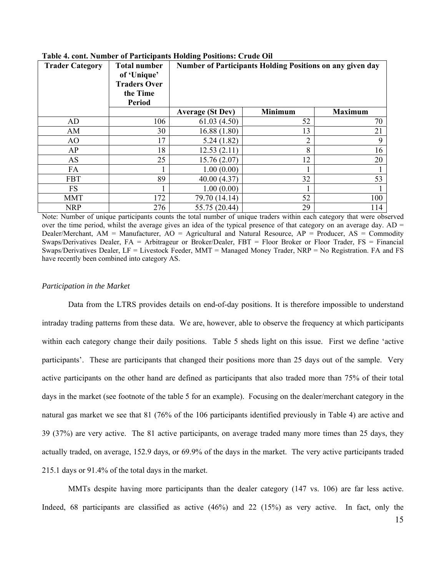| <b>Trader Category</b> | <b>Total number</b><br>of 'Unique'<br><b>Traders Over</b><br>the Time<br><b>Period</b> | <b>Number of Participants Holding Positions on any given day</b> |                |                |  |  |  |  |
|------------------------|----------------------------------------------------------------------------------------|------------------------------------------------------------------|----------------|----------------|--|--|--|--|
|                        |                                                                                        | <b>Average (St Dev)</b>                                          | <b>Minimum</b> | <b>Maximum</b> |  |  |  |  |
| AD                     | 106                                                                                    | 61.03(4.50)                                                      | 52             | 70             |  |  |  |  |
| AM                     | 30                                                                                     | 16.88(1.80)                                                      | 13             | 21             |  |  |  |  |
| AO                     | 17                                                                                     | 5.24(1.82)                                                       | 2              | 9              |  |  |  |  |
| AP                     | 18                                                                                     | 12.53(2.11)                                                      | 8              | 16             |  |  |  |  |
| AS                     | 25                                                                                     | 15.76(2.07)                                                      | 12             | 20             |  |  |  |  |
| FA                     |                                                                                        | 1.00(0.00)                                                       |                |                |  |  |  |  |
| <b>FBT</b>             | 89                                                                                     | 40.00(4.37)                                                      | 32             | 53             |  |  |  |  |
| <b>FS</b>              |                                                                                        | 1.00(0.00)                                                       |                |                |  |  |  |  |
| <b>MMT</b>             | 172                                                                                    | 79.70 (14.14)                                                    | 52             | 100            |  |  |  |  |
| <b>NRP</b>             | 276                                                                                    | 55.75 (20.44)                                                    | 29             | 114            |  |  |  |  |

**Table 4. cont. Number of Participants Holding Positions: Crude Oil** 

Note: Number of unique participants counts the total number of unique traders within each category that were observed over the time period, whilst the average gives an idea of the typical presence of that category on an average day.  $AD =$ Dealer/Merchant, AM = Manufacturer, AO = Agricultural and Natural Resource, AP = Producer, AS = Commodity Swaps/Derivatives Dealer, FA = Arbitrageur or Broker/Dealer, FBT = Floor Broker or Floor Trader, FS = Financial Swaps/Derivatives Dealer, LF = Livestock Feeder, MMT = Managed Money Trader, NRP = No Registration. FA and FS have recently been combined into category AS.

#### *Participation in the Market*

 Data from the LTRS provides details on end-of-day positions. It is therefore impossible to understand intraday trading patterns from these data. We are, however, able to observe the frequency at which participants within each category change their daily positions. Table 5 sheds light on this issue. First we define 'active participants'. These are participants that changed their positions more than 25 days out of the sample. Very active participants on the other hand are defined as participants that also traded more than 75% of their total days in the market (see footnote of the table 5 for an example). Focusing on the dealer/merchant category in the natural gas market we see that 81 (76% of the 106 participants identified previously in Table 4) are active and 39 (37%) are very active. The 81 active participants, on average traded many more times than 25 days, they actually traded, on average, 152.9 days, or 69.9% of the days in the market. The very active participants traded 215.1 days or 91.4% of the total days in the market.

 MMTs despite having more participants than the dealer category (147 vs. 106) are far less active. Indeed, 68 participants are classified as active (46%) and 22 (15%) as very active. In fact, only the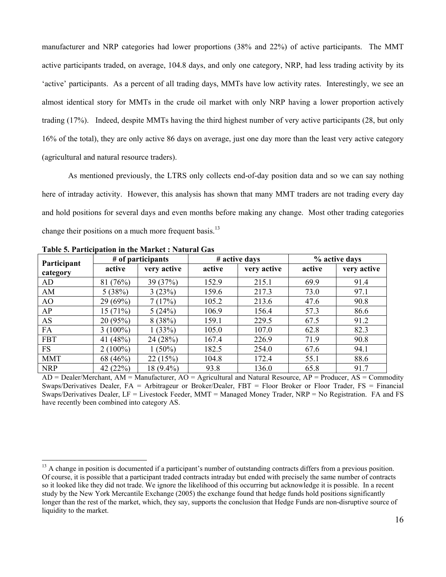manufacturer and NRP categories had lower proportions (38% and 22%) of active participants. The MMT active participants traded, on average, 104.8 days, and only one category, NRP, had less trading activity by its 'active' participants. As a percent of all trading days, MMTs have low activity rates. Interestingly, we see an almost identical story for MMTs in the crude oil market with only NRP having a lower proportion actively trading (17%). Indeed, despite MMTs having the third highest number of very active participants (28, but only 16% of the total), they are only active 86 days on average, just one day more than the least very active category (agricultural and natural resource traders).

 As mentioned previously, the LTRS only collects end-of-day position data and so we can say nothing here of intraday activity. However, this analysis has shown that many MMT traders are not trading every day and hold positions for several days and even months before making any change. Most other trading categories change their positions on a much more frequent basis.<sup>13</sup>

| Participant | # of participants |             |        | # active days | % active days |             |
|-------------|-------------------|-------------|--------|---------------|---------------|-------------|
| category    | active            | very active | active | very active   | active        | very active |
| AD          | 81(76%)           | 39(37%)     | 152.9  | 215.1         | 69.9          | 91.4        |
| AM          | 5(38%)            | 3(23%)      | 159.6  | 217.3         | 73.0          | 97.1        |
| AO          | 29 (69%)          | 7(17%)      | 105.2  | 213.6         | 47.6          | 90.8        |
| AP          | 15(71%)           | 5(24%)      | 106.9  | 156.4         | 57.3          | 86.6        |
| AS          | 20 (95%)          | 8(38%)      | 159.1  | 229.5         | 67.5          | 91.2        |
| FA          | $3(100\%)$        | 1(33%)      | 105.0  | 107.0         | 62.8          | 82.3        |
| <b>FBT</b>  | 41 (48%)          | 24 (28%)    | 167.4  | 226.9         | 71.9          | 90.8        |
| <b>FS</b>   | $2(100\%)$        | $1(50\%)$   | 182.5  | 254.0         | 67.6          | 94.1        |
| <b>MMT</b>  | 68 (46%)          | 22(15%)     | 104.8  | 172.4         | 55.1          | 88.6        |
| <b>NRP</b>  | 42 (22%)          | 18 (9.4%)   | 93.8   | 136.0         | 65.8          | 91.7        |

**Table 5. Participation in the Market : Natural Gas** 

 $\overline{a}$ 

 $AD = Dealer/Merchant$ ,  $AM = Manufacturer$ ,  $AO = Agricultural$  and Natural Resource,  $AP = Product$ ,  $AS = Commodity$ Swaps/Derivatives Dealer, FA = Arbitrageur or Broker/Dealer, FBT = Floor Broker or Floor Trader, FS = Financial Swaps/Derivatives Dealer, LF = Livestock Feeder, MMT = Managed Money Trader, NRP = No Registration. FA and FS have recently been combined into category AS.

<sup>&</sup>lt;sup>13</sup> A change in position is documented if a participant's number of outstanding contracts differs from a previous position. Of course, it is possible that a participant traded contracts intraday but ended with precisely the same number of contracts so it looked like they did not trade. We ignore the likelihood of this occurring but acknowledge it is possible. In a recent study by the New York Mercantile Exchange (2005) the exchange found that hedge funds hold positions significantly longer than the rest of the market, which, they say, supports the conclusion that Hedge Funds are non-disruptive source of liquidity to the market.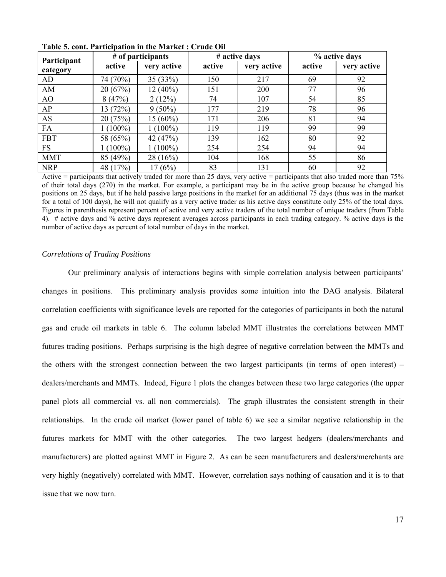| Participant |           | # of participants |        | # active days |        | % active days |
|-------------|-----------|-------------------|--------|---------------|--------|---------------|
| category    | active    | very active       | active | very active   | active | very active   |
| AD          | 74 (70%)  | 35(33%)           | 150    | 217           | 69     | 92            |
| AM          | 20(67%)   | $12(40\%)$        | 151    | 200           | 77     | 96            |
| AO          | 8(47%)    | 2(12%)            | 74     | 107           | 54     | 85            |
| AP          | 13 (72%)  | $9(50\%)$         | 177    | 219           | 78     | 96            |
| <b>AS</b>   | 20 (75%)  | $15(60\%)$        | 171    | 206           | 81     | 94            |
| FA          | $(100\%)$ | $1(100\%)$        | 119    | 119           | 99     | 99            |
| <b>FBT</b>  | 58 (65%)  | 42 (47%)          | 139    | 162           | 80     | 92            |
| <b>FS</b>   | $(100\%)$ | $1(100\%)$        | 254    | 254           | 94     | 94            |
| <b>MMT</b>  | 85 (49%)  | 28(16%)           | 104    | 168           | 55     | 86            |
| <b>NRP</b>  | 48 (17%)  | 17(6%)            | 83     | 131           | 60     | 92            |

**Table 5. cont. Participation in the Market : Crude Oil** 

Active  $=$  participants that actively traded for more than 25 days, very active  $=$  participants that also traded more than 75% of their total days (270) in the market. For example, a participant may be in the active group because he changed his positions on 25 days, but if he held passive large positions in the market for an additional 75 days (thus was in the market for a total of 100 days), he will not qualify as a very active trader as his active days constitute only 25% of the total days. Figures in parenthesis represent percent of active and very active traders of the total number of unique traders (from Table 4). # active days and % active days represent averages across participants in each trading category. % active days is the number of active days as percent of total number of days in the market.

#### *Correlations of Trading Positions*

 Our preliminary analysis of interactions begins with simple correlation analysis between participants' changes in positions. This preliminary analysis provides some intuition into the DAG analysis. Bilateral correlation coefficients with significance levels are reported for the categories of participants in both the natural gas and crude oil markets in table 6. The column labeled MMT illustrates the correlations between MMT futures trading positions. Perhaps surprising is the high degree of negative correlation between the MMTs and the others with the strongest connection between the two largest participants (in terms of open interest) – dealers/merchants and MMTs. Indeed, Figure 1 plots the changes between these two large categories (the upper panel plots all commercial vs. all non commercials). The graph illustrates the consistent strength in their relationships. In the crude oil market (lower panel of table 6) we see a similar negative relationship in the futures markets for MMT with the other categories. The two largest hedgers (dealers/merchants and manufacturers) are plotted against MMT in Figure 2. As can be seen manufacturers and dealers/merchants are very highly (negatively) correlated with MMT. However, correlation says nothing of causation and it is to that issue that we now turn.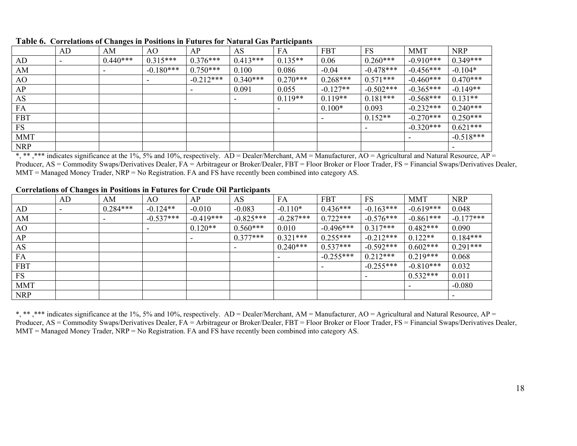|            | AD                       | AM         | AO          | AP          | AS         | FA                       | <b>FBT</b> | <b>FS</b>   | <b>MMT</b>  | <b>NRP</b>  |
|------------|--------------------------|------------|-------------|-------------|------------|--------------------------|------------|-------------|-------------|-------------|
| AD         | $\overline{\phantom{0}}$ | $0.440***$ | $0.315***$  | $0.376***$  | $0.413***$ | $0.135**$                | 0.06       | $0.260***$  | $-0.910***$ | $0.349***$  |
| AM         |                          |            | $-0.180***$ | $0.750***$  | 0.100      | 0.086                    | $-0.04$    | $-0.478***$ | $-0.456***$ | $-0.104*$   |
| AO         |                          |            |             | $-0.212***$ | $0.340***$ | $0.270***$               | $0.268***$ | $0.571***$  | $-0.460***$ | $0.470***$  |
| AP         |                          |            |             |             | 0.091      | 0.055                    | $-0.127**$ | $-0.502***$ | $-0.365***$ | $-0.149**$  |
| AS         |                          |            |             |             |            | $0.119**$                | $0.119**$  | $0.181***$  | $-0.568***$ | $0.131**$   |
| FA         |                          |            |             |             |            | $\overline{\phantom{a}}$ | $0.100*$   | 0.093       | $-0.232***$ | $0.240***$  |
| <b>FBT</b> |                          |            |             |             |            |                          |            | $0.152**$   | $-0.270***$ | $0.250***$  |
| FS         |                          |            |             |             |            |                          |            |             | $-0.320***$ | $0.621***$  |
| <b>MMT</b> |                          |            |             |             |            |                          |            |             |             | $-0.518***$ |
| <b>NRP</b> |                          |            |             |             |            |                          |            |             |             |             |

**Table 6. Correlations of Changes in Positions in Futures for Natural Gas Participants** 

NRP  $\begin{array}{c|c|c|c|c} & & & & \text{if} & \text{if} & \text{if} & \text{if} & \text{if} & \text{if} & \text{if} & \text{if} & \text{if} & \text{if} & \text{if} & \text{if} & \text{if} & \text{if} & \text{if} & \text{if} & \text{if} & \text{if} & \text{if} & \text{if} & \text{if} & \text{if} & \text{if} & \text{if} & \text{if} & \text{if} & \text{if} & \text{if} & \text{if} & \text{if} & \text{if} & \text{if} & \text{if}$ Producer, AS = Commodity Swaps/Derivatives Dealer, FA = Arbitrageur or Broker/Dealer, FBT = Floor Broker or Floor Trader, FS = Financial Swaps/Derivatives Dealer, MMT = Managed Money Trader, NRP = No Registration. FA and FS have recently been combined into category AS.

## **Correlations of Changes in Positions in Futures for Crude Oil Participants**

|            | AD | AΜ         | AO          | АP          | AS          | FA          | FBT         | <b>FS</b>   | <b>MMT</b>  | <b>NRP</b>  |
|------------|----|------------|-------------|-------------|-------------|-------------|-------------|-------------|-------------|-------------|
| AD         |    | $0.284***$ | $-0.124**$  | $-0.010$    | $-0.083$    | $-0.110*$   | $0.436***$  | $-0.163***$ | $-0.619***$ | 0.048       |
| AM         |    |            | $-0.537***$ | $-0.419***$ | $-0.825***$ | $-0.287***$ | $0.722***$  | $-0.576***$ | $-0.861***$ | $-0.177***$ |
| AO         |    |            |             | $0.120**$   | $0.560***$  | 0.010       | $-0.496***$ | $0.317***$  | $0.482***$  | 0.090       |
| AP         |    |            |             |             | $0.377***$  | $0.321***$  | $0.255***$  | $-0.212***$ | $0.122**$   | $0.184***$  |
| AS         |    |            |             |             |             | $0.240***$  | $0.537***$  | $-0.592***$ | $0.602***$  | $0.291***$  |
| FA         |    |            |             |             |             | ۰           | $-0.255***$ | $0.212***$  | $0.219***$  | 0.068       |
| <b>FBT</b> |    |            |             |             |             |             |             | $-0.255***$ | $-0.810***$ | 0.032       |
| FS         |    |            |             |             |             |             |             |             | $0.532***$  | 0.011       |
| <b>MMT</b> |    |            |             |             |             |             |             |             |             | $-0.080$    |
| <b>NRP</b> |    |            |             |             |             |             |             |             |             |             |

\*, \*\*\* indicates significance at the 1%, 5% and 10%, respectively. AD = Dealer/Merchant, AM = Manufacturer, AO = Agricultural and Natural Resource, AP = Producer, AS = Commodity Swaps/Derivatives Dealer, FA = Arbitrageur or Broker/Dealer, FBT = Floor Broker or Floor Trader, FS = Financial Swaps/Derivatives Dealer,  $MMT =$  Managed Money Trader,  $NRP =$  No Registration. FA and FS have recently been combined into category AS.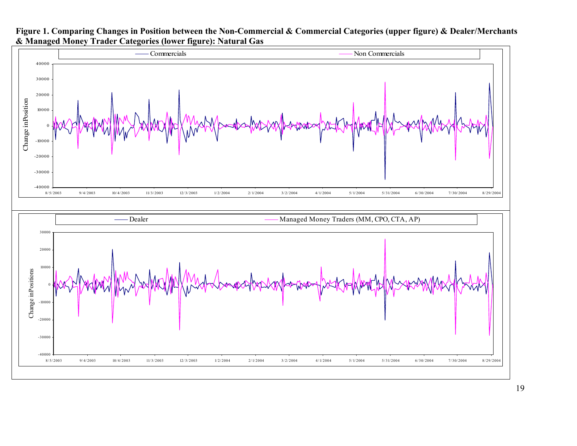

## **Figure 1. Comparing Changes in Position between the Non-Commercial & Commercial Categories (upper figure) & Dealer/Merchants & Managed Money Trader Categories (lower figure): Natural Gas**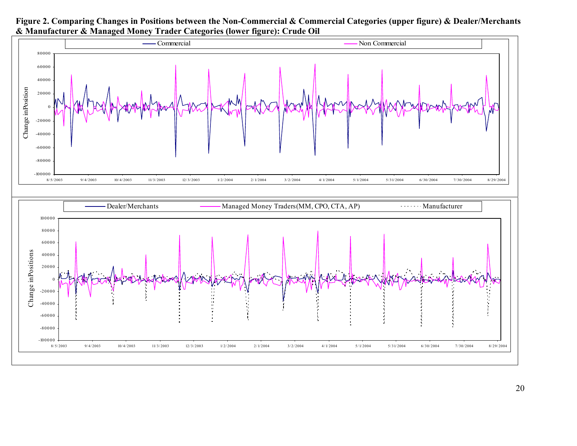

**Figure 2. Comparing Changes in Positions between the Non-Commercial & Commercial Categories (upper figure) & Dealer/Merchants & Manufacturer & Managed Money Trader Categories (lower figure): Crude Oil** 

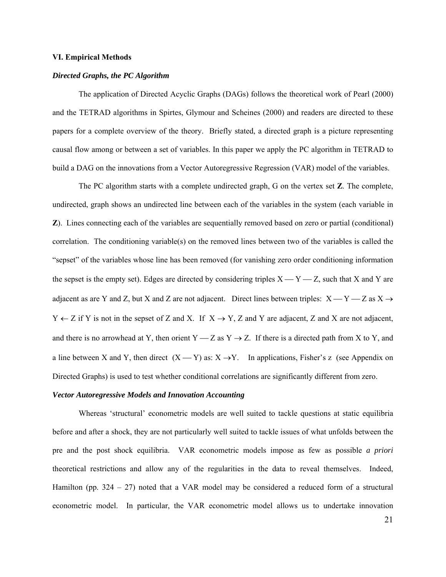#### **VI. Empirical Methods**

#### *Directed Graphs, the PC Algorithm*

 The application of Directed Acyclic Graphs (DAGs) follows the theoretical work of Pearl (2000) and the TETRAD algorithms in Spirtes, Glymour and Scheines (2000) and readers are directed to these papers for a complete overview of the theory. Briefly stated, a directed graph is a picture representing causal flow among or between a set of variables. In this paper we apply the PC algorithm in TETRAD to build a DAG on the innovations from a Vector Autoregressive Regression (VAR) model of the variables.

The PC algorithm starts with a complete undirected graph, G on the vertex set **Z**. The complete, undirected, graph shows an undirected line between each of the variables in the system (each variable in **Z**). Lines connecting each of the variables are sequentially removed based on zero or partial (conditional) correlation. The conditioning variable(s) on the removed lines between two of the variables is called the "sepset" of the variables whose line has been removed (for vanishing zero order conditioning information the sepset is the empty set). Edges are directed by considering triples  $X \rightarrow Y \rightarrow Z$ , such that X and Y are adjacent as are Y and Z, but X and Z are not adjacent. Direct lines between triples:  $X - Y - Z$  as  $X \rightarrow$  $Y \leftarrow Z$  if Y is not in the sepset of Z and X. If  $X \rightarrow Y$ , Z and Y are adjacent, Z and X are not adjacent, and there is no arrowhead at Y, then orient  $Y - Z$  as  $Y \rightarrow Z$ . If there is a directed path from X to Y, and a line between X and Y, then direct  $(X - Y)$  as:  $X \rightarrow Y$ . In applications, Fisher's z (see Appendix on Directed Graphs) is used to test whether conditional correlations are significantly different from zero.

#### *Vector Autoregressive Models and Innovation Accounting*

 Whereas 'structural' econometric models are well suited to tackle questions at static equilibria before and after a shock, they are not particularly well suited to tackle issues of what unfolds between the pre and the post shock equilibria. VAR econometric models impose as few as possible *a priori* theoretical restrictions and allow any of the regularities in the data to reveal themselves. Indeed, Hamilton (pp.  $324 - 27$ ) noted that a VAR model may be considered a reduced form of a structural econometric model. In particular, the VAR econometric model allows us to undertake innovation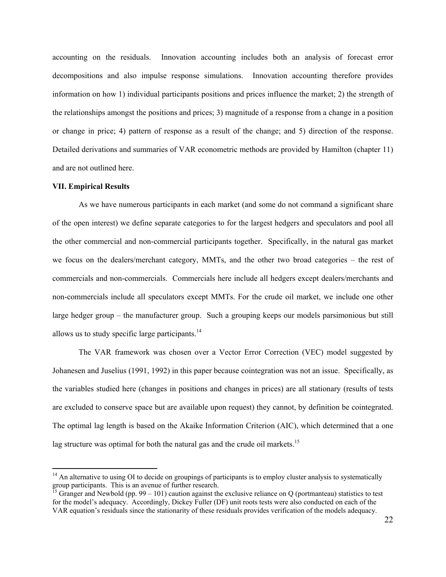accounting on the residuals. Innovation accounting includes both an analysis of forecast error decompositions and also impulse response simulations. Innovation accounting therefore provides information on how 1) individual participants positions and prices influence the market; 2) the strength of the relationships amongst the positions and prices; 3) magnitude of a response from a change in a position or change in price; 4) pattern of response as a result of the change; and 5) direction of the response. Detailed derivations and summaries of VAR econometric methods are provided by Hamilton (chapter 11) and are not outlined here.

#### **VII. Empirical Results**

 $\overline{a}$ 

 As we have numerous participants in each market (and some do not command a significant share of the open interest) we define separate categories to for the largest hedgers and speculators and pool all the other commercial and non-commercial participants together. Specifically, in the natural gas market we focus on the dealers/merchant category, MMTs, and the other two broad categories – the rest of commercials and non-commercials. Commercials here include all hedgers except dealers/merchants and non-commercials include all speculators except MMTs. For the crude oil market, we include one other large hedger group – the manufacturer group. Such a grouping keeps our models parsimonious but still allows us to study specific large participants. $^{14}$ 

 The VAR framework was chosen over a Vector Error Correction (VEC) model suggested by Johanesen and Juselius (1991, 1992) in this paper because cointegration was not an issue. Specifically, as the variables studied here (changes in positions and changes in prices) are all stationary (results of tests are excluded to conserve space but are available upon request) they cannot, by definition be cointegrated. The optimal lag length is based on the Akaike Information Criterion (AIC), which determined that a one lag structure was optimal for both the natural gas and the crude oil markets.<sup>15</sup>

 $14$  An alternative to using OI to decide on groupings of participants is to employ cluster analysis to systematically group participants. This is an avenue of further research.

<sup>&</sup>lt;sup>15</sup> Granger and Newbold (pp. 99 – 101) caution against the exclusive reliance on Q (portmanteau) statistics to test for the model's adequacy. Accordingly, Dickey Fuller (DF) unit roots tests were also conducted on each of the VAR equation's residuals since the stationarity of these residuals provides verification of the models adequacy.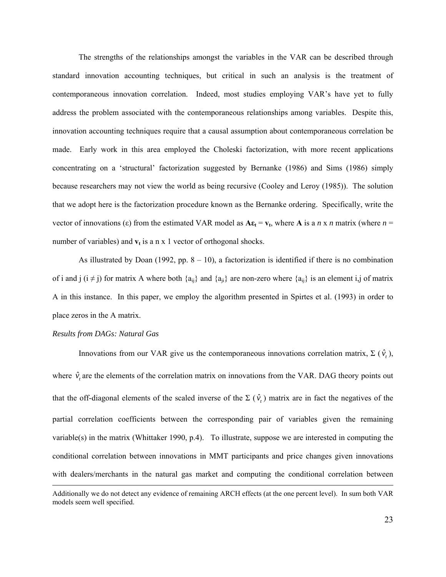The strengths of the relationships amongst the variables in the VAR can be described through standard innovation accounting techniques, but critical in such an analysis is the treatment of contemporaneous innovation correlation. Indeed, most studies employing VAR's have yet to fully address the problem associated with the contemporaneous relationships among variables. Despite this, innovation accounting techniques require that a causal assumption about contemporaneous correlation be made. Early work in this area employed the Choleski factorization, with more recent applications concentrating on a 'structural' factorization suggested by Bernanke (1986) and Sims (1986) simply because researchers may not view the world as being recursive (Cooley and Leroy (1985)). The solution that we adopt here is the factorization procedure known as the Bernanke ordering. Specifically, write the vector of innovations (ε) from the estimated VAR model as  $A\epsilon_t = v_t$ , where A is a *n* x *n* matrix (where *n* = number of variables) and  $v_t$  is a n x 1 vector of orthogonal shocks.

As illustrated by Doan (1992, pp.  $8 - 10$ ), a factorization is identified if there is no combination of i and j  $(i \neq j)$  for matrix A where both  $\{a_{ii}\}\$  and  $\{a_{ii}\}\$  are non-zero where  $\{a_{ii}\}\$  is an element i,j of matrix A in this instance. In this paper, we employ the algorithm presented in Spirtes et al. (1993) in order to place zeros in the A matrix.

#### *Results from DAGs: Natural Gas*

Innovations from our VAR give us the contemporaneous innovations correlation matrix, Σ ( $\hat{v}_t$ ), where  $\hat{v}_t$  are the elements of the correlation matrix on innovations from the VAR. DAG theory points out that the off-diagonal elements of the scaled inverse of the  $\Sigma(\hat{v}_t)$  matrix are in fact the negatives of the partial correlation coefficients between the corresponding pair of variables given the remaining variable(s) in the matrix (Whittaker 1990, p.4). To illustrate, suppose we are interested in computing the conditional correlation between innovations in MMT participants and price changes given innovations with dealers/merchants in the natural gas market and computing the conditional correlation between

Additionally we do not detect any evidence of remaining ARCH effects (at the one percent level). In sum both VAR models seem well specified.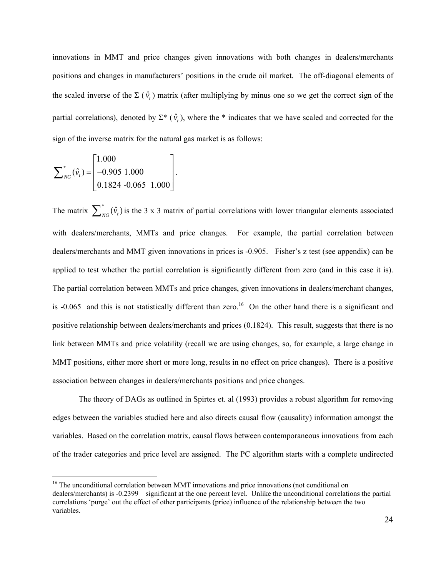innovations in MMT and price changes given innovations with both changes in dealers/merchants positions and changes in manufacturers' positions in the crude oil market. The off-diagonal elements of the scaled inverse of the  $\Sigma(\hat{v}_t)$  matrix (after multiplying by minus one so we get the correct sign of the partial correlations), denoted by  $\Sigma^*$  ( $\hat{v}_t$ ), where the \* indicates that we have scaled and corrected for the sign of the inverse matrix for the natural gas market is as follows:

$$
\sum_{NG}^{*}(\hat{v}_t) = \begin{bmatrix} 1.000 \\ -0.905 & 1.000 \\ 0.1824 & -0.065 & 1.000 \end{bmatrix}.
$$

 $\overline{a}$ 

The matrix  $\sum_{N=0}^{8} (\hat{v}_t)$  is the 3 x 3 matrix of partial correlations with lower triangular elements associated with dealers/merchants, MMTs and price changes. For example, the partial correlation between dealers/merchants and MMT given innovations in prices is -0.905. Fisher's z test (see appendix) can be applied to test whether the partial correlation is significantly different from zero (and in this case it is). The partial correlation between MMTs and price changes, given innovations in dealers/merchant changes, is  $-0.065$  and this is not statistically different than zero.<sup>16</sup> On the other hand there is a significant and positive relationship between dealers/merchants and prices (0.1824). This result, suggests that there is no link between MMTs and price volatility (recall we are using changes, so, for example, a large change in MMT positions, either more short or more long, results in no effect on price changes). There is a positive association between changes in dealers/merchants positions and price changes.

 The theory of DAGs as outlined in Spirtes et. al (1993) provides a robust algorithm for removing edges between the variables studied here and also directs causal flow (causality) information amongst the variables. Based on the correlation matrix, causal flows between contemporaneous innovations from each of the trader categories and price level are assigned. The PC algorithm starts with a complete undirected

<sup>&</sup>lt;sup>16</sup> The unconditional correlation between MMT innovations and price innovations (not conditional on dealers/merchants) is -0.2399 – significant at the one percent level. Unlike the unconditional correlations the partial correlations 'purge' out the effect of other participants (price) influence of the relationship between the two variables.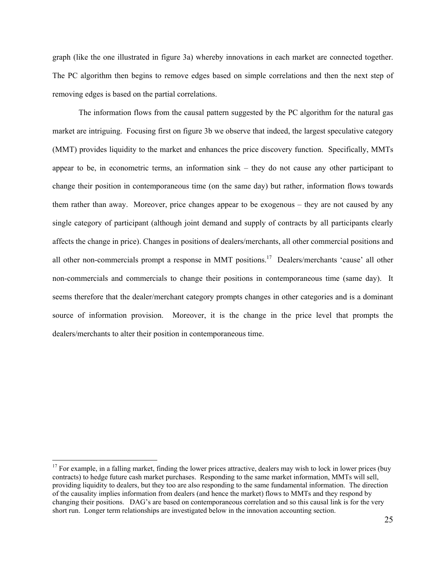graph (like the one illustrated in figure 3a) whereby innovations in each market are connected together. The PC algorithm then begins to remove edges based on simple correlations and then the next step of removing edges is based on the partial correlations.

 The information flows from the causal pattern suggested by the PC algorithm for the natural gas market are intriguing. Focusing first on figure 3b we observe that indeed, the largest speculative category (MMT) provides liquidity to the market and enhances the price discovery function. Specifically, MMTs appear to be, in econometric terms, an information sink – they do not cause any other participant to change their position in contemporaneous time (on the same day) but rather, information flows towards them rather than away. Moreover, price changes appear to be exogenous – they are not caused by any single category of participant (although joint demand and supply of contracts by all participants clearly affects the change in price). Changes in positions of dealers/merchants, all other commercial positions and all other non-commercials prompt a response in MMT positions.<sup>17</sup> Dealers/merchants 'cause' all other non-commercials and commercials to change their positions in contemporaneous time (same day). It seems therefore that the dealer/merchant category prompts changes in other categories and is a dominant source of information provision. Moreover, it is the change in the price level that prompts the dealers/merchants to alter their position in contemporaneous time.

 $\overline{a}$ 

 $17$  For example, in a falling market, finding the lower prices attractive, dealers may wish to lock in lower prices (buy contracts) to hedge future cash market purchases. Responding to the same market information, MMTs will sell, providing liquidity to dealers, but they too are also responding to the same fundamental information. The direction of the causality implies information from dealers (and hence the market) flows to MMTs and they respond by changing their positions. DAG's are based on contemporaneous correlation and so this causal link is for the very short run. Longer term relationships are investigated below in the innovation accounting section.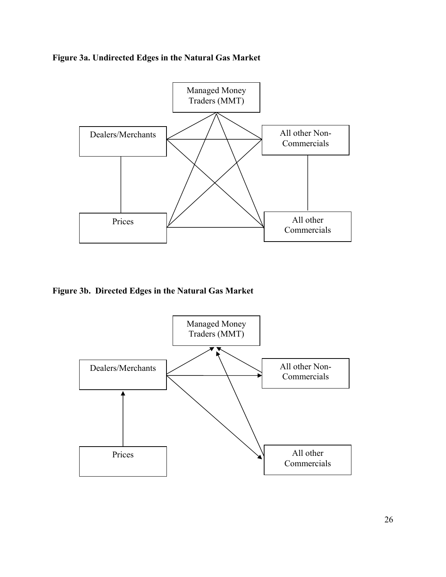**Figure 3a. Undirected Edges in the Natural Gas Market** 



**Figure 3b. Directed Edges in the Natural Gas Market** 

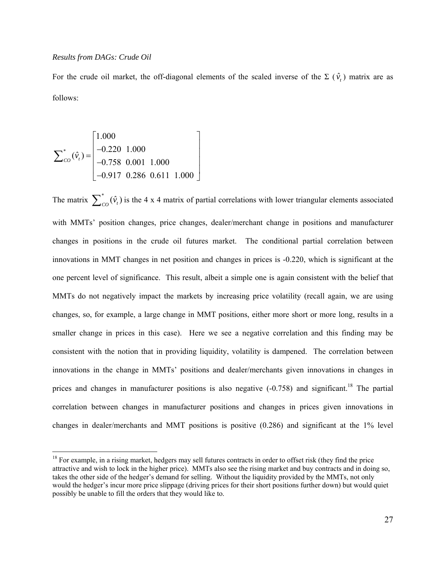#### *Results from DAGs: Crude Oil*

 $\overline{a}$ 

For the crude oil market, the off-diagonal elements of the scaled inverse of the  $\Sigma(\hat{v}_t)$  matrix are as follows:

$$
\sum_{CO}^{*}(\hat{v}_t) = \begin{bmatrix} 1.000 \\ -0.220 & 1.000 \\ -0.758 & 0.001 & 1.000 \\ -0.917 & 0.286 & 0.611 & 1.000 \end{bmatrix}
$$

The matrix  $\sum_{c}^{*}(\hat{v}_t)$  is the 4 x 4 matrix of partial correlations with lower triangular elements associated with MMTs' position changes, price changes, dealer/merchant change in positions and manufacturer changes in positions in the crude oil futures market. The conditional partial correlation between innovations in MMT changes in net position and changes in prices is -0.220, which is significant at the one percent level of significance. This result, albeit a simple one is again consistent with the belief that MMTs do not negatively impact the markets by increasing price volatility (recall again, we are using changes, so, for example, a large change in MMT positions, either more short or more long, results in a smaller change in prices in this case). Here we see a negative correlation and this finding may be consistent with the notion that in providing liquidity, volatility is dampened. The correlation between innovations in the change in MMTs' positions and dealer/merchants given innovations in changes in prices and changes in manufacturer positions is also negative  $(-0.758)$  and significant.<sup>18</sup> The partial correlation between changes in manufacturer positions and changes in prices given innovations in changes in dealer/merchants and MMT positions is positive (0.286) and significant at the 1% level

 $18$  For example, in a rising market, hedgers may sell futures contracts in order to offset risk (they find the price attractive and wish to lock in the higher price). MMTs also see the rising market and buy contracts and in doing so, takes the other side of the hedger's demand for selling. Without the liquidity provided by the MMTs, not only would the hedger's incur more price slippage (driving prices for their short positions further down) but would quiet possibly be unable to fill the orders that they would like to.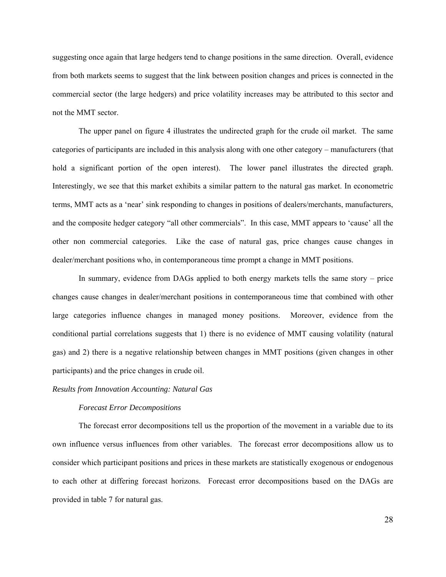suggesting once again that large hedgers tend to change positions in the same direction. Overall, evidence from both markets seems to suggest that the link between position changes and prices is connected in the commercial sector (the large hedgers) and price volatility increases may be attributed to this sector and not the MMT sector.

 The upper panel on figure 4 illustrates the undirected graph for the crude oil market. The same categories of participants are included in this analysis along with one other category – manufacturers (that hold a significant portion of the open interest). The lower panel illustrates the directed graph. Interestingly, we see that this market exhibits a similar pattern to the natural gas market. In econometric terms, MMT acts as a 'near' sink responding to changes in positions of dealers/merchants, manufacturers, and the composite hedger category "all other commercials". In this case, MMT appears to 'cause' all the other non commercial categories. Like the case of natural gas, price changes cause changes in dealer/merchant positions who, in contemporaneous time prompt a change in MMT positions.

 In summary, evidence from DAGs applied to both energy markets tells the same story – price changes cause changes in dealer/merchant positions in contemporaneous time that combined with other large categories influence changes in managed money positions. Moreover, evidence from the conditional partial correlations suggests that 1) there is no evidence of MMT causing volatility (natural gas) and 2) there is a negative relationship between changes in MMT positions (given changes in other participants) and the price changes in crude oil.

## *Results from Innovation Accounting: Natural Gas*

#### *Forecast Error Decompositions*

 The forecast error decompositions tell us the proportion of the movement in a variable due to its own influence versus influences from other variables. The forecast error decompositions allow us to consider which participant positions and prices in these markets are statistically exogenous or endogenous to each other at differing forecast horizons. Forecast error decompositions based on the DAGs are provided in table 7 for natural gas.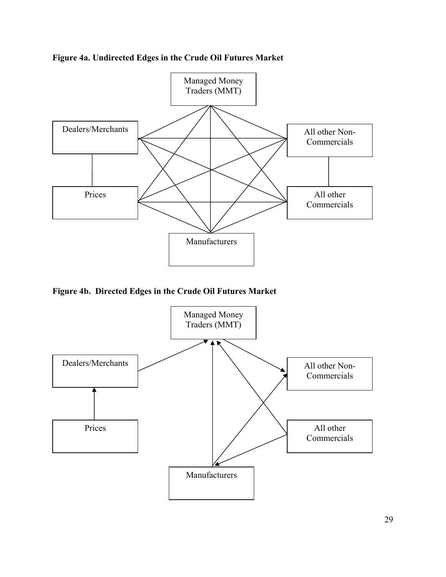



**Figure 4b. Directed Edges in the Crude Oil Futures Market** 

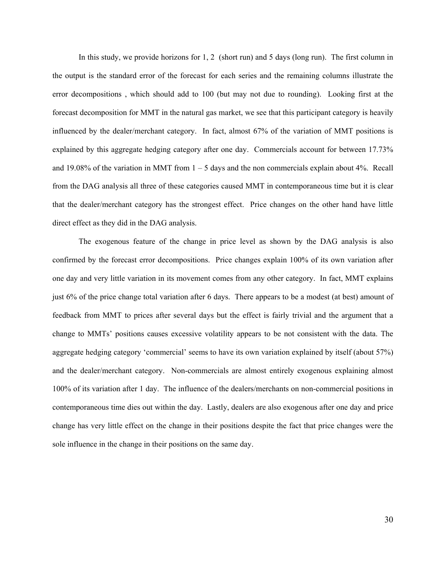In this study, we provide horizons for 1, 2 (short run) and 5 days (long run). The first column in the output is the standard error of the forecast for each series and the remaining columns illustrate the error decompositions , which should add to 100 (but may not due to rounding). Looking first at the forecast decomposition for MMT in the natural gas market, we see that this participant category is heavily influenced by the dealer/merchant category. In fact, almost 67% of the variation of MMT positions is explained by this aggregate hedging category after one day. Commercials account for between 17.73% and 19.08% of the variation in MMT from  $1 - 5$  days and the non commercials explain about 4%. Recall from the DAG analysis all three of these categories caused MMT in contemporaneous time but it is clear that the dealer/merchant category has the strongest effect. Price changes on the other hand have little direct effect as they did in the DAG analysis.

 The exogenous feature of the change in price level as shown by the DAG analysis is also confirmed by the forecast error decompositions. Price changes explain 100% of its own variation after one day and very little variation in its movement comes from any other category. In fact, MMT explains just 6% of the price change total variation after 6 days. There appears to be a modest (at best) amount of feedback from MMT to prices after several days but the effect is fairly trivial and the argument that a change to MMTs' positions causes excessive volatility appears to be not consistent with the data. The aggregate hedging category 'commercial' seems to have its own variation explained by itself (about 57%) and the dealer/merchant category. Non-commercials are almost entirely exogenous explaining almost 100% of its variation after 1 day. The influence of the dealers/merchants on non-commercial positions in contemporaneous time dies out within the day. Lastly, dealers are also exogenous after one day and price change has very little effect on the change in their positions despite the fact that price changes were the sole influence in the change in their positions on the same day.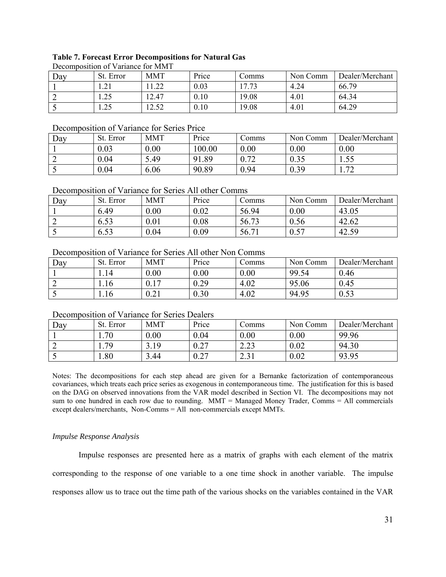#### **Table 7. Forecast Error Decompositions for Natural Gas**

| Decomposition of variance for ivery t |                      |                   |       |                    |          |                 |  |  |  |  |
|---------------------------------------|----------------------|-------------------|-------|--------------------|----------|-----------------|--|--|--|--|
| Dav                                   | St. Error            | <b>MMT</b>        | Price | Comms              | Non Comm | Dealer/Merchant |  |  |  |  |
|                                       |                      |                   | 0.03  | $\mathcal{L}$<br>− | 4.24     | 66.79           |  |  |  |  |
|                                       | $\mathcal{D}$<br>ر∠… | 12.47             | 0.10  | 19.08              | 4.01     | 64.34           |  |  |  |  |
|                                       |                      | $\epsilon$<br>ר ו | 0.10  | 19.08              | 4.01     | 64.29           |  |  |  |  |

# Decomposition of Variance for MMT

## Decomposition of Variance for Series Price

| Dav | St. Error | <b>MMT</b> | Price                  | Comms        | Non Comm | Dealer/Merchant       |
|-----|-----------|------------|------------------------|--------------|----------|-----------------------|
|     | 0.03      | 0.00       | 100.00                 | 0.00         | 0.00     | 0.00                  |
|     | 0.04      | 5.49       | 1.89<br>Q <sub>1</sub> | ∩ ¬า<br>0.12 | 0.35     | $\overline{1}$ . J. J |
|     | 0.04      | 6.06       | 90.89                  | 0.94         | 0.39     | $\mathbf{z}$          |

## Decomposition of Variance for Series All other Comms

| Day | St. Error | <b>MMT</b> | Price | Comms | Non Comm | Dealer/Merchant |
|-----|-----------|------------|-------|-------|----------|-----------------|
|     | 6.49      | 0.00       | 0.02  | 56.94 | 0.00     | 43.05           |
|     | 6.53      | 0.01       | 0.08  | 56.73 | 0.56     | 42.62           |
|     | 6.53      | 0.04       | 0.09  | 56.71 | 0.57     | 42.59           |

## Decomposition of Variance for Series All other Non Comms

| Day | St. Error | <b>MMT</b>                                 | Price    | $\mathcal{L}$ omms | Non Comm | Dealer/Merchant |
|-----|-----------|--------------------------------------------|----------|--------------------|----------|-----------------|
|     | 1.14      | 0.00                                       | 0.00     | 0.00               | 99.54    | 0.46            |
|     | 1.16      | 1 <sub>7</sub>                             | 0.29     | 4.02               | 95.06    | 0.45            |
| ັ   | 1.16      | ∩ ∩'<br>$\mathsf{U}$ . $\mathsf{\Delta}$ 1 | $0.30\,$ | 4.02               | 94.95    | 0.53            |

## Decomposition of Variance for Series Dealers

| Dav | St. Error | <b>MMT</b> | Price        | Comms                               | Non Comm | Dealer/Merchant |
|-----|-----------|------------|--------------|-------------------------------------|----------|-----------------|
|     | 1.70      | 0.00       | 0.04         | 0.00                                | 0.00     | 99.96           |
|     | 1.79      | 3.19       | ∩ ኅ7<br>∪.∠. | റാ<br>ر ے. ب                        | 0.02     | 94.30           |
|     | 1.80      | 3.44       | ሰ ኅ7<br>∪.∠. | 2.21<br>$\sim$ $\sim$ $\sim$ $\sim$ | 0.02     | 93.95           |

Notes: The decompositions for each step ahead are given for a Bernanke factorization of contemporaneous covariances, which treats each price series as exogenous in contemporaneous time. The justification for this is based on the DAG on observed innovations from the VAR model described in Section VI. The decompositions may not sum to one hundred in each row due to rounding. MMT = Managed Money Trader, Comms = All commercials except dealers/merchants, Non-Comms = All non-commercials except MMTs.

#### *Impulse Response Analysis*

 Impulse responses are presented here as a matrix of graphs with each element of the matrix corresponding to the response of one variable to a one time shock in another variable. The impulse responses allow us to trace out the time path of the various shocks on the variables contained in the VAR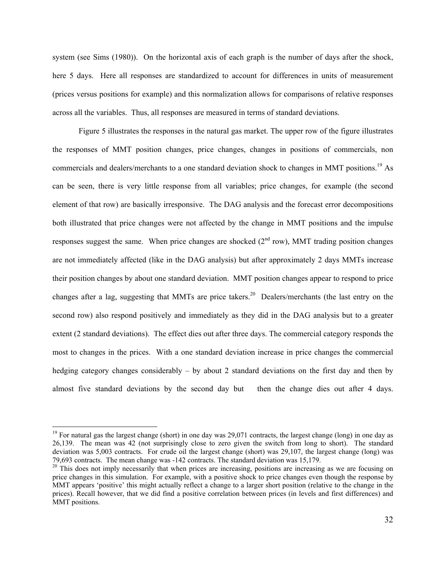system (see Sims (1980)). On the horizontal axis of each graph is the number of days after the shock, here 5 days. Here all responses are standardized to account for differences in units of measurement (prices versus positions for example) and this normalization allows for comparisons of relative responses across all the variables. Thus, all responses are measured in terms of standard deviations.

 Figure 5 illustrates the responses in the natural gas market. The upper row of the figure illustrates the responses of MMT position changes, price changes, changes in positions of commercials, non commercials and dealers/merchants to a one standard deviation shock to changes in MMT positions.<sup>19</sup> As can be seen, there is very little response from all variables; price changes, for example (the second element of that row) are basically irresponsive. The DAG analysis and the forecast error decompositions both illustrated that price changes were not affected by the change in MMT positions and the impulse responses suggest the same. When price changes are shocked  $(2<sup>nd</sup> row)$ , MMT trading position changes are not immediately affected (like in the DAG analysis) but after approximately 2 days MMTs increase their position changes by about one standard deviation. MMT position changes appear to respond to price changes after a lag, suggesting that MMTs are price takers.<sup>20</sup> Dealers/merchants (the last entry on the second row) also respond positively and immediately as they did in the DAG analysis but to a greater extent (2 standard deviations). The effect dies out after three days. The commercial category responds the most to changes in the prices. With a one standard deviation increase in price changes the commercial hedging category changes considerably – by about 2 standard deviations on the first day and then by almost five standard deviations by the second day but then the change dies out after 4 days.

 $\overline{a}$ 

<sup>&</sup>lt;sup>19</sup> For natural gas the largest change (short) in one day was  $29,071$  contracts, the largest change (long) in one day as 26,139. The mean was 42 (not surprisingly close to zero given the switch from long to short). The standard deviation was 5,003 contracts. For crude oil the largest change (short) was 29,107, the largest change (long) was 79,693 contracts. The mean change was -142 contracts. The standard deviation was 15,179.

 $20$  This does not imply necessarily that when prices are increasing, positions are increasing as we are focusing on price changes in this simulation. For example, with a positive shock to price changes even though the response by MMT appears 'positive' this might actually reflect a change to a larger short position (relative to the change in the prices). Recall however, that we did find a positive correlation between prices (in levels and first differences) and MMT positions.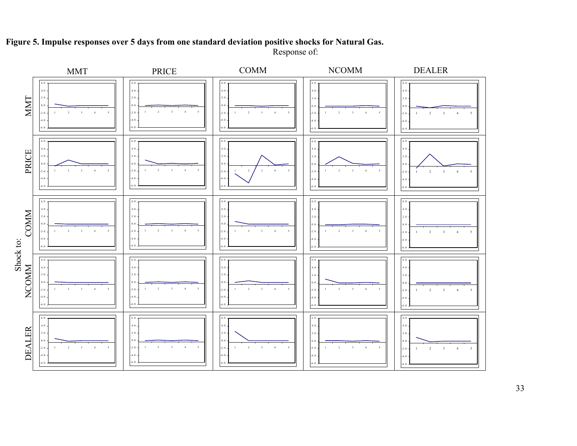

**Figure 5. Impulse responses over 5 days from one standard deviation positive shocks for Natural Gas.**  Response of:

33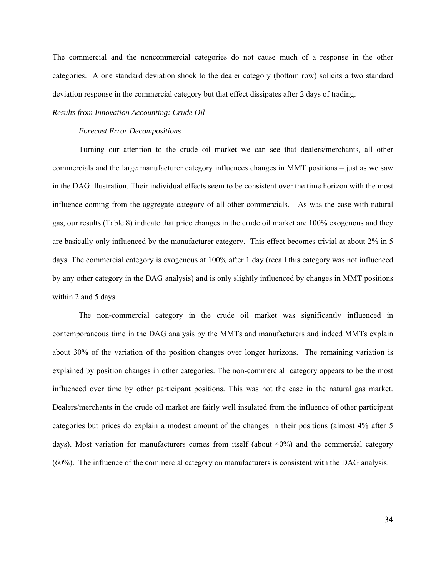The commercial and the noncommercial categories do not cause much of a response in the other categories. A one standard deviation shock to the dealer category (bottom row) solicits a two standard deviation response in the commercial category but that effect dissipates after 2 days of trading.

## *Results from Innovation Accounting: Crude Oil*

#### *Forecast Error Decompositions*

 Turning our attention to the crude oil market we can see that dealers/merchants, all other commercials and the large manufacturer category influences changes in MMT positions – just as we saw in the DAG illustration. Their individual effects seem to be consistent over the time horizon with the most influence coming from the aggregate category of all other commercials. As was the case with natural gas, our results (Table 8) indicate that price changes in the crude oil market are 100% exogenous and they are basically only influenced by the manufacturer category. This effect becomes trivial at about 2% in 5 days. The commercial category is exogenous at 100% after 1 day (recall this category was not influenced by any other category in the DAG analysis) and is only slightly influenced by changes in MMT positions within 2 and 5 days.

 The non-commercial category in the crude oil market was significantly influenced in contemporaneous time in the DAG analysis by the MMTs and manufacturers and indeed MMTs explain about 30% of the variation of the position changes over longer horizons. The remaining variation is explained by position changes in other categories. The non-commercial category appears to be the most influenced over time by other participant positions. This was not the case in the natural gas market. Dealers/merchants in the crude oil market are fairly well insulated from the influence of other participant categories but prices do explain a modest amount of the changes in their positions (almost 4% after 5 days). Most variation for manufacturers comes from itself (about 40%) and the commercial category (60%). The influence of the commercial category on manufacturers is consistent with the DAG analysis.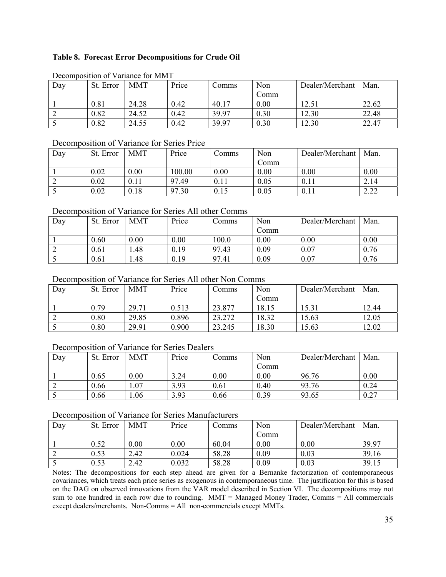## **Table 8. Forecast Error Decompositions for Crude Oil**

| Decombosition of variance for MIMT |           |            |       |       |      |                 |       |  |  |  |
|------------------------------------|-----------|------------|-------|-------|------|-----------------|-------|--|--|--|
| Day                                | St. Error | <b>MMT</b> | Price | Comms | Non  | Dealer/Merchant | Man.  |  |  |  |
|                                    |           |            |       |       | Comm |                 |       |  |  |  |
|                                    | 0.81      | 24.28      | 0.42  | 40.17 | 0.00 | 12.51           | 22.62 |  |  |  |
|                                    | 0.82      | 24.52      | 0.42  | 39.97 | 0.30 | 12.30           | 22.48 |  |  |  |
|                                    | 0.82      | 24.55      | 0.42  | 39.97 | 0.30 | 12.30           | 22.47 |  |  |  |

## Decomposition of Variance for MMT

## Decomposition of Variance for Series Price

| Day | St. Error | <b>MMT</b> | Price  | Comms | Non  | Dealer/Merchant | Man.                              |
|-----|-----------|------------|--------|-------|------|-----------------|-----------------------------------|
|     |           |            |        |       | Comm |                 |                                   |
|     | 0.02      | 0.00       | 100.00 | 0.00  | 0.00 | 0.00            | 0.00                              |
|     | 0.02      | 0.11       | 97.49  | 0.11  | 0.05 | 0.11            | 2.14                              |
|     | 0.02      | 0.18       | 97.30  | 0.15  | 0.05 | 0.11            | າ າາ<br>$\angle$ . $\angle\angle$ |

## Decomposition of Variance for Series All other Comms

| Day | St. Error | <b>MMT</b> | Price | Comms | Non  | Dealer/Merchant | Man. |
|-----|-----------|------------|-------|-------|------|-----------------|------|
|     |           |            |       |       | Comm |                 |      |
|     | 0.60      | 0.00       | 0.00  | 100.0 | 0.00 | 0.00            | 0.00 |
|     | 0.61      | . 48.      | 0.19  | 97.43 | 0.09 | 0.07            | 0.76 |
|     | 0.61      | . 48       | 0.19  | 97.41 | 0.09 | 0.07            | 0.76 |

## Decomposition of Variance for Series All other Non Comms

| Day | St. Error | MMT   | Price | Comms  | Non   | Dealer/Merchant | Man.  |
|-----|-----------|-------|-------|--------|-------|-----------------|-------|
|     |           |       |       |        | Comm  |                 |       |
|     | 0.79      | 29.71 | 0.513 | 23.877 | 18.15 | 15.31           | 12.44 |
|     | 0.80      | 29.85 | 0.896 | 23.272 | 18.32 | 15.63           | 12.05 |
|     | 0.80      | 29.91 | 0.900 | 23.245 | 18.30 | 15.63           | 2.02  |

## Decomposition of Variance for Series Dealers

| Day | St. Error | <b>MMT</b> | Price | Comms | Non  | Dealer/Merchant | Man. |
|-----|-----------|------------|-------|-------|------|-----------------|------|
|     |           |            |       |       | Comm |                 |      |
|     | 0.65      | 0.00       | 3.24  | 0.00  | 0.00 | 96.76           | 0.00 |
|     | 0.66      | .07        | 3.93  | 0.61  | 0.40 | 93.76           | 0.24 |
|     | 0.66      | .06        | 3.93  | 0.66  | 0.39 | 93.65           | 0.27 |

## Decomposition of Variance for Series Manufacturers

| Day | St. Error | MMT  | Price | Comms | Non      | Dealer/Merchant | Man.  |
|-----|-----------|------|-------|-------|----------|-----------------|-------|
|     |           |      |       |       | Comm     |                 |       |
|     | 0.52      | 0.00 | 0.00  | 60.04 | $0.00\,$ | $0.00\,$        | 39.97 |
|     | 0.53      | 2.42 | 0.024 | 58.28 | 0.09     | 0.03            | 39.16 |
|     | 0.53      | 2.42 | 0.032 | 58.28 | 0.09     | 0.03            | 39.15 |

Notes: The decompositions for each step ahead are given for a Bernanke factorization of contemporaneous covariances, which treats each price series as exogenous in contemporaneous time. The justification for this is based on the DAG on observed innovations from the VAR model described in Section VI. The decompositions may not sum to one hundred in each row due to rounding.  $MMT =$  Managed Money Trader, Comms  $=$  All commercials except dealers/merchants, Non-Comms = All non-commercials except MMTs.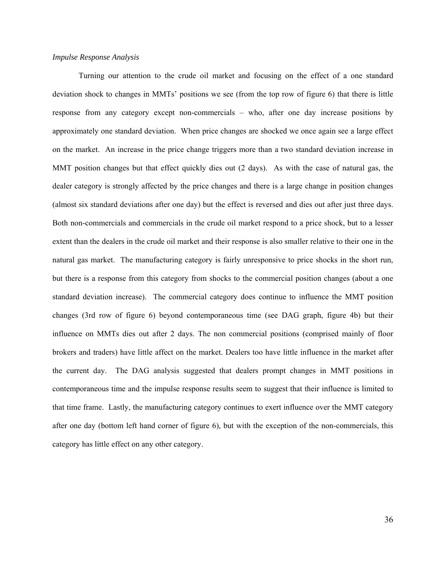#### *Impulse Response Analysis*

 Turning our attention to the crude oil market and focusing on the effect of a one standard deviation shock to changes in MMTs' positions we see (from the top row of figure 6) that there is little response from any category except non-commercials – who, after one day increase positions by approximately one standard deviation. When price changes are shocked we once again see a large effect on the market. An increase in the price change triggers more than a two standard deviation increase in MMT position changes but that effect quickly dies out (2 days). As with the case of natural gas, the dealer category is strongly affected by the price changes and there is a large change in position changes (almost six standard deviations after one day) but the effect is reversed and dies out after just three days. Both non-commercials and commercials in the crude oil market respond to a price shock, but to a lesser extent than the dealers in the crude oil market and their response is also smaller relative to their one in the natural gas market. The manufacturing category is fairly unresponsive to price shocks in the short run, but there is a response from this category from shocks to the commercial position changes (about a one standard deviation increase). The commercial category does continue to influence the MMT position changes (3rd row of figure 6) beyond contemporaneous time (see DAG graph, figure 4b) but their influence on MMTs dies out after 2 days. The non commercial positions (comprised mainly of floor brokers and traders) have little affect on the market. Dealers too have little influence in the market after the current day. The DAG analysis suggested that dealers prompt changes in MMT positions in contemporaneous time and the impulse response results seem to suggest that their influence is limited to that time frame. Lastly, the manufacturing category continues to exert influence over the MMT category after one day (bottom left hand corner of figure 6), but with the exception of the non-commercials, this category has little effect on any other category.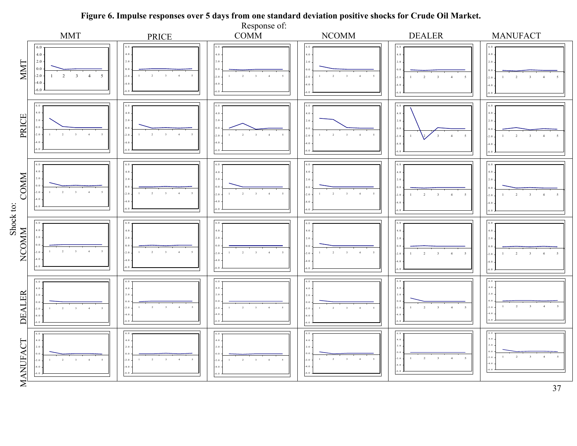

## **Figure 6. Impulse responses over 5 days from one standard deviation positive shocks for Crude Oil Market.**

37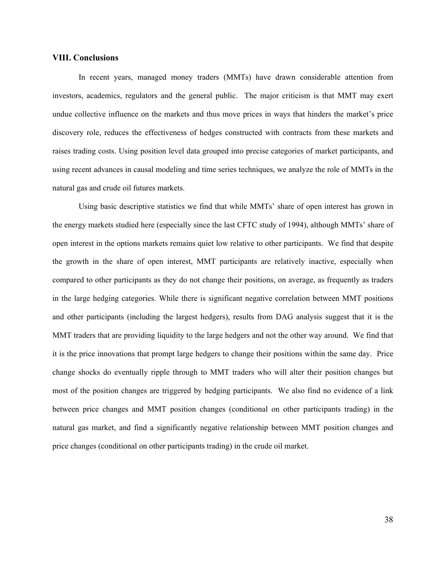## **VIII. Conclusions**

 In recent years, managed money traders (MMTs) have drawn considerable attention from investors, academics, regulators and the general public. The major criticism is that MMT may exert undue collective influence on the markets and thus move prices in ways that hinders the market's price discovery role, reduces the effectiveness of hedges constructed with contracts from these markets and raises trading costs. Using position level data grouped into precise categories of market participants, and using recent advances in causal modeling and time series techniques, we analyze the role of MMTs in the natural gas and crude oil futures markets.

 Using basic descriptive statistics we find that while MMTs' share of open interest has grown in the energy markets studied here (especially since the last CFTC study of 1994), although MMTs' share of open interest in the options markets remains quiet low relative to other participants. We find that despite the growth in the share of open interest, MMT participants are relatively inactive, especially when compared to other participants as they do not change their positions, on average, as frequently as traders in the large hedging categories. While there is significant negative correlation between MMT positions and other participants (including the largest hedgers), results from DAG analysis suggest that it is the MMT traders that are providing liquidity to the large hedgers and not the other way around. We find that it is the price innovations that prompt large hedgers to change their positions within the same day. Price change shocks do eventually ripple through to MMT traders who will alter their position changes but most of the position changes are triggered by hedging participants. We also find no evidence of a link between price changes and MMT position changes (conditional on other participants trading) in the natural gas market, and find a significantly negative relationship between MMT position changes and price changes (conditional on other participants trading) in the crude oil market.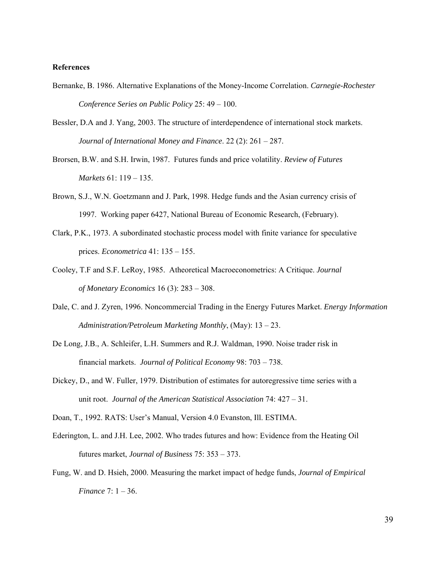#### **References**

- Bernanke, B. 1986. Alternative Explanations of the Money-Income Correlation. *Carnegie-Rochester Conference Series on Public Policy* 25: 49 – 100.
- Bessler, D.A and J. Yang, 2003. The structure of interdependence of international stock markets. *Journal of International Money and Finance*. 22 (2): 261 – 287.
- Brorsen, B.W. and S.H. Irwin, 1987. Futures funds and price volatility. *Review of Futures Markets* 61: 119 – 135.
- Brown, S.J., W.N. Goetzmann and J. Park, 1998. Hedge funds and the Asian currency crisis of 1997. Working paper 6427, National Bureau of Economic Research, (February).
- Clark, P.K., 1973. A subordinated stochastic process model with finite variance for speculative prices. *Econometrica* 41: 135 – 155.
- Cooley, T.F and S.F. LeRoy, 1985. Atheoretical Macroeconometrics: A Critique. *Journal of Monetary Economics* 16 (3): 283 – 308.
- Dale, C. and J. Zyren, 1996. Noncommercial Trading in the Energy Futures Market. *Energy Information Administration/Petroleum Marketing Monthly*, (May): 13 – 23.
- De Long, J.B., A. Schleifer, L.H. Summers and R.J. Waldman, 1990. Noise trader risk in financial markets. *Journal of Political Economy* 98: 703 – 738.
- Dickey, D., and W. Fuller, 1979. Distribution of estimates for autoregressive time series with a unit root. *Journal of the American Statistical Association* 74: 427 – 31.
- Doan, T., 1992. RATS: User's Manual, Version 4.0 Evanston, Ill. ESTIMA.
- Ederington, L. and J.H. Lee, 2002. Who trades futures and how: Evidence from the Heating Oil futures market, *Journal of Business* 75: 353 – 373.
- Fung, W. and D. Hsieh, 2000. Measuring the market impact of hedge funds, *Journal of Empirical Finance* 7: 1 – 36.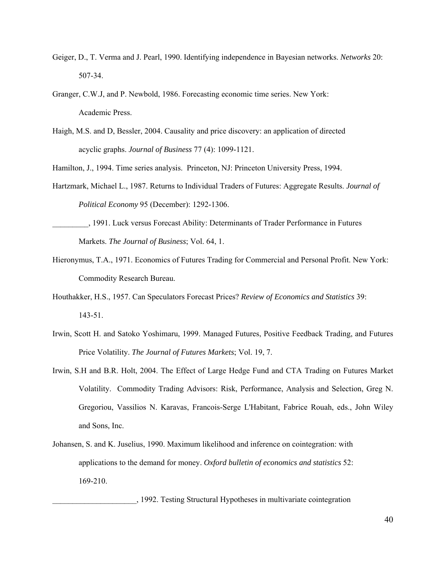- Geiger, D., T. Verma and J. Pearl, 1990. Identifying independence in Bayesian networks. *Networks* 20: 507-34.
- Granger, C.W.J, and P. Newbold, 1986. Forecasting economic time series. New York: Academic Press.
- Haigh, M.S. and D, Bessler, 2004. Causality and price discovery: an application of directed acyclic graphs. *Journal of Business* 77 (4): 1099-1121.

Hamilton, J., 1994. Time series analysis. Princeton, NJ: Princeton University Press, 1994.

- Hartzmark, Michael L., 1987. Returns to Individual Traders of Futures: Aggregate Results. *Journal of Political Economy* 95 (December): 1292-1306.
- \_\_\_\_\_\_\_\_\_, 1991. Luck versus Forecast Ability: Determinants of Trader Performance in Futures Markets. *The Journal of Business*; Vol. 64, 1.
- Hieronymus, T.A., 1971. Economics of Futures Trading for Commercial and Personal Profit. New York: Commodity Research Bureau.
- Houthakker, H.S., 1957. Can Speculators Forecast Prices? *Review of Economics and Statistics* 39: 143-51.
- Irwin, Scott H. and Satoko Yoshimaru, 1999. Managed Futures, Positive Feedback Trading, and Futures Price Volatility. *The Journal of Futures Markets*; Vol. 19, 7.
- Irwin, S.H and B.R. Holt, 2004. The Effect of Large Hedge Fund and CTA Trading on Futures Market Volatility. Commodity Trading Advisors: Risk, Performance, Analysis and Selection, Greg N. Gregoriou, Vassilios N. Karavas, Francois-Serge L'Habitant, Fabrice Rouah, eds., John Wiley and Sons, Inc.
- Johansen, S. and K. Juselius, 1990. Maximum likelihood and inference on cointegration: with applications to the demand for money. *Oxford bulletin of economics and statistics* 52: 169-210.

\_\_\_\_\_\_\_\_\_\_\_\_\_\_\_\_\_\_\_\_\_, 1992. Testing Structural Hypotheses in multivariate cointegration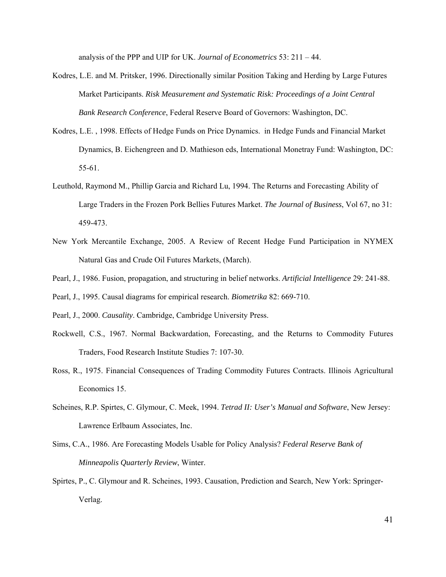analysis of the PPP and UIP for UK. *Journal of Econometrics* 53: 211 – 44.

- Kodres, L.E. and M. Pritsker, 1996. Directionally similar Position Taking and Herding by Large Futures Market Participants. *Risk Measurement and Systematic Risk: Proceedings of a Joint Central Bank Research Conference*, Federal Reserve Board of Governors: Washington, DC.
- Kodres, L.E. , 1998. Effects of Hedge Funds on Price Dynamics. in Hedge Funds and Financial Market Dynamics, B. Eichengreen and D. Mathieson eds, International Monetray Fund: Washington, DC: 55-61.
- Leuthold, Raymond M., Phillip Garcia and Richard Lu, 1994. The Returns and Forecasting Ability of Large Traders in the Frozen Pork Bellies Futures Market. *The Journal of Business*, Vol 67, no 31: 459-473.
- New York Mercantile Exchange, 2005. A Review of Recent Hedge Fund Participation in NYMEX Natural Gas and Crude Oil Futures Markets, (March).
- Pearl, J., 1986. Fusion, propagation, and structuring in belief networks. *Artificial Intelligence* 29: 241-88.
- Pearl, J., 1995. Causal diagrams for empirical research. *Biometrika* 82: 669-710.
- Pearl, J., 2000. *Causality*. Cambridge, Cambridge University Press.
- Rockwell, C.S., 1967. Normal Backwardation, Forecasting, and the Returns to Commodity Futures Traders, Food Research Institute Studies 7: 107-30.
- Ross, R., 1975. Financial Consequences of Trading Commodity Futures Contracts. Illinois Agricultural Economics 15.
- Scheines, R.P. Spirtes, C. Glymour, C. Meek, 1994. *Tetrad II: User's Manual and Software*, New Jersey: Lawrence Erlbaum Associates, Inc.
- Sims, C.A., 1986. Are Forecasting Models Usable for Policy Analysis? *Federal Reserve Bank of Minneapolis Quarterly Review*, Winter.
- Spirtes, P., C. Glymour and R. Scheines, 1993. Causation, Prediction and Search, New York: Springer- Verlag.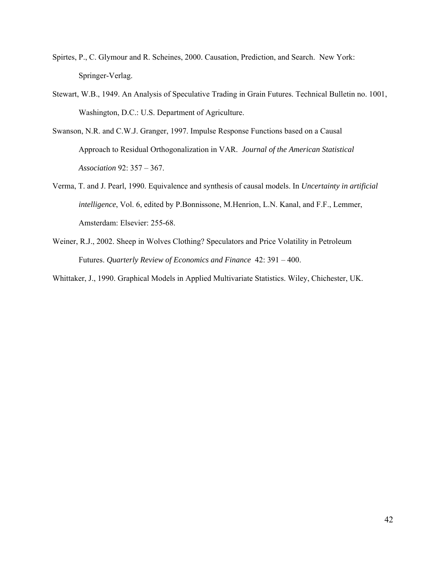- Spirtes, P., C. Glymour and R. Scheines, 2000. Causation, Prediction, and Search. New York: Springer-Verlag.
- Stewart, W.B., 1949. An Analysis of Speculative Trading in Grain Futures. Technical Bulletin no. 1001, Washington, D.C.: U.S. Department of Agriculture.
- Swanson, N.R. and C.W.J. Granger, 1997. Impulse Response Functions based on a Causal Approach to Residual Orthogonalization in VAR. *Journal of the American Statistical Association* 92: 357 – 367.
- Verma, T. and J. Pearl, 1990. Equivalence and synthesis of causal models. In *Uncertainty in artificial intelligence*, Vol. 6, edited by P.Bonnissone, M.Henrion, L.N. Kanal, and F.F., Lemmer, Amsterdam: Elsevier: 255-68.
- Weiner, R.J., 2002. Sheep in Wolves Clothing? Speculators and Price Volatility in Petroleum Futures. *Quarterly Review of Economics and Finance* 42: 391 – 400.

Whittaker, J., 1990. Graphical Models in Applied Multivariate Statistics. Wiley, Chichester, UK.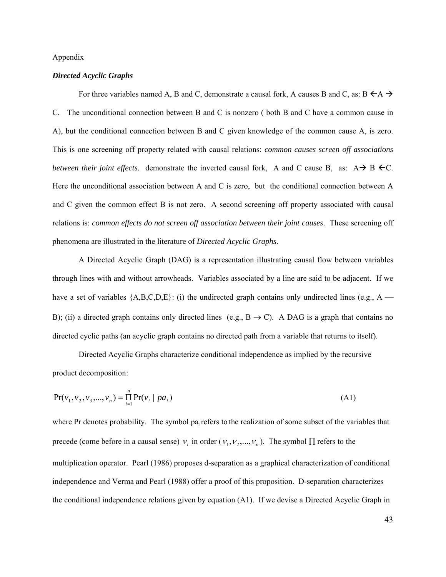#### Appendix

#### *Directed Acyclic Graphs*

For three variables named A, B and C, demonstrate a causal fork, A causes B and C, as:  $B \leftarrow A \rightarrow$ C. The unconditional connection between B and C is nonzero ( both B and C have a common cause in A), but the conditional connection between B and C given knowledge of the common cause A, is zero. This is one screening off property related with causal relations: *common causes screen off associations between their joint effects.* demonstrate the inverted causal fork, A and C cause B, as:  $A \rightarrow B \leftarrow C$ . Here the unconditional association between A and C is zero, but the conditional connection between A and C given the common effect B is not zero. A second screening off property associated with causal relations is: *common effects do not screen off association between their joint causes*. These screening off phenomena are illustrated in the literature of *Directed Acyclic Graphs*.

A Directed Acyclic Graph (DAG) is a representation illustrating causal flow between variables through lines with and without arrowheads. Variables associated by a line are said to be adjacent. If we have a set of variables  ${A,B,C,D,E}$ : (i) the undirected graph contains only undirected lines (e.g., A — B); (ii) a directed graph contains only directed lines (e.g.,  $B \rightarrow C$ ). A DAG is a graph that contains no directed cyclic paths (an acyclic graph contains no directed path from a variable that returns to itself).

 Directed Acyclic Graphs characterize conditional independence as implied by the recursive product decomposition:

$$
Pr(v_1, v_2, v_3, \dots, v_n) = \prod_{i=1}^{n} Pr(v_i \mid pa_i)
$$
\n(A1)

where Pr denotes probability. The symbol pa<sub>i</sub> refers to the realization of some subset of the variables that precede (come before in a causal sense)  $v_i$  in order ( $v_1, v_2, ..., v_n$ ). The symbol  $\Pi$  refers to the multiplication operator. Pearl (1986) proposes d-separation as a graphical characterization of conditional independence and Verma and Pearl (1988) offer a proof of this proposition. D-separation characterizes the conditional independence relations given by equation (A1). If we devise a Directed Acyclic Graph in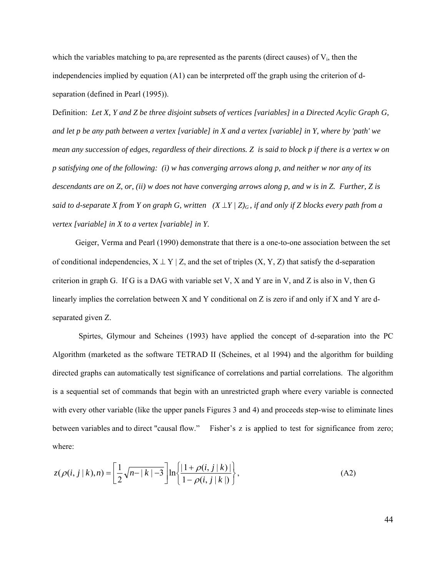which the variables matching to pa<sub>i</sub> are represented as the parents (direct causes) of  $V_i$ , then the independencies implied by equation  $(A1)$  can be interpreted off the graph using the criterion of dseparation (defined in Pearl (1995)).

Definition: *Let X, Y and Z be three disjoint subsets of vertices [variables] in a Directed Acylic Graph G, and let p be any path between a vertex [variable] in X and a vertex [variable] in Y, where by 'path' we mean any succession of edges, regardless of their directions. Z is said to block p if there is a vertex w on p satisfying one of the following: (i) w has converging arrows along p, and neither w nor any of its descendants are on Z, or, (ii) w does not have converging arrows along p, and w is in Z. Further, Z is said to d-separate X from Y on graph G, written*  $(X \perp Y / Z)$ <sub>*G</sub>, if and only if Z blocks every path from a*</sub> *vertex [variable] in X to a vertex [variable] in Y.* 

Geiger, Verma and Pearl (1990) demonstrate that there is a one-to-one association between the set of conditional independencies,  $X \perp Y | Z$ , and the set of triples  $(X, Y, Z)$  that satisfy the d-separation criterion in graph G. If G is a DAG with variable set V, X and Y are in V, and Z is also in V, then G linearly implies the correlation between X and Y conditional on Z is zero if and only if X and Y are dseparated given Z.

 Spirtes, Glymour and Scheines (1993) have applied the concept of d-separation into the PC Algorithm (marketed as the software TETRAD II (Scheines, et al 1994) and the algorithm for building directed graphs can automatically test significance of correlations and partial correlations. The algorithm is a sequential set of commands that begin with an unrestricted graph where every variable is connected with every other variable (like the upper panels Figures 3 and 4) and proceeds step-wise to eliminate lines between variables and to direct "causal flow." Fisher's z is applied to test for significance from zero; where:

$$
z(\rho(i,j|k),n) = \left[\frac{1}{2}\sqrt{n-|k|-3}\right] \ln\left\{\frac{|1+\rho(i,j|k)|}{1-\rho(i,j|k|)}\right\},\tag{A2}
$$